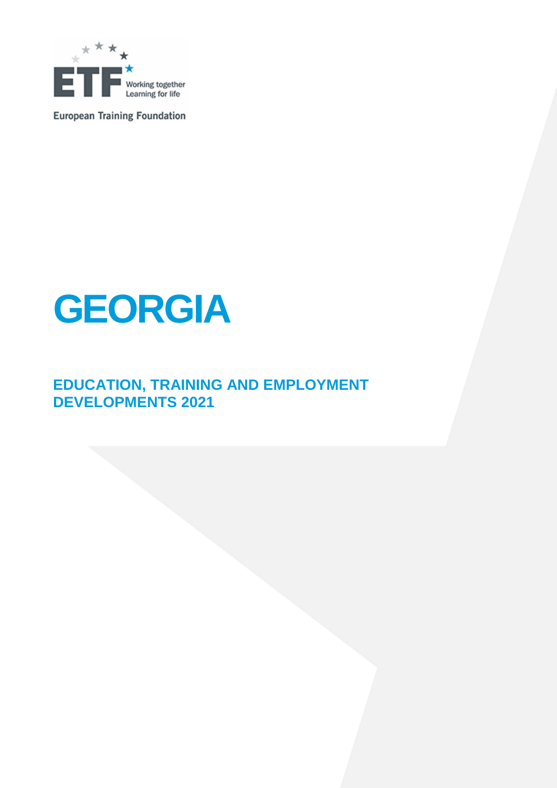

**European Training Foundation** 



### **EDUCATION, TRAINING AND EMPLOYMENT DEVELOPMENTS 2021**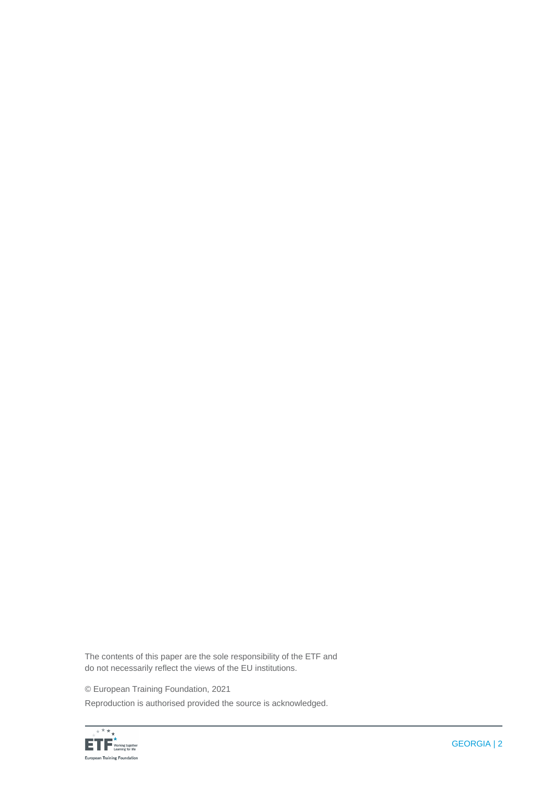The contents of this paper are the sole responsibility of the ETF and do not necessarily reflect the views of the EU institutions.

© European Training Foundation, 2021

Reproduction is authorised provided the source is acknowledged.

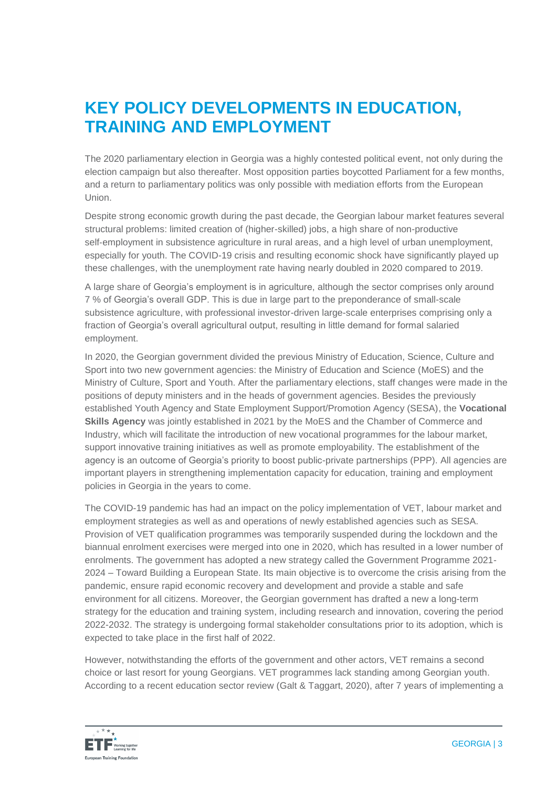### **KEY POLICY DEVELOPMENTS IN EDUCATION, TRAINING AND EMPLOYMENT**

The 2020 parliamentary election in Georgia was a highly contested political event, not only during the election campaign but also thereafter. Most opposition parties boycotted Parliament for a few months, and a return to parliamentary politics was only possible with mediation efforts from the European Union.

Despite strong economic growth during the past decade, the Georgian labour market features several structural problems: limited creation of (higher-skilled) jobs, a high share of non-productive self-employment in subsistence agriculture in rural areas, and a high level of urban unemployment, especially for youth. The COVID-19 crisis and resulting economic shock have significantly played up these challenges, with the unemployment rate having nearly doubled in 2020 compared to 2019.

A large share of Georgia's employment is in agriculture, although the sector comprises only around 7 % of Georgia's overall GDP. This is due in large part to the preponderance of small-scale subsistence agriculture, with professional investor-driven large-scale enterprises comprising only a fraction of Georgia's overall agricultural output, resulting in little demand for formal salaried employment.

In 2020, the Georgian government divided the previous Ministry of Education, Science, Culture and Sport into two new government agencies: the Ministry of Education and Science (MoES) and the Ministry of Culture, Sport and Youth. After the parliamentary elections, staff changes were made in the positions of deputy ministers and in the heads of government agencies. Besides the previously established Youth Agency and State Employment Support/Promotion Agency (SESA), the **Vocational Skills Agency** was jointly established in 2021 by the MoES and the Chamber of Commerce and Industry, which will facilitate the introduction of new vocational programmes for the labour market, support innovative training initiatives as well as promote employability. The establishment of the agency is an outcome of Georgia's priority to boost public-private partnerships (PPP). All agencies are important players in strengthening implementation capacity for education, training and employment policies in Georgia in the years to come.

The COVID-19 pandemic has had an impact on the policy implementation of VET, labour market and employment strategies as well as and operations of newly established agencies such as SESA. Provision of VET qualification programmes was temporarily suspended during the lockdown and the biannual enrolment exercises were merged into one in 2020, which has resulted in a lower number of enrolments. The government has adopted a new strategy called the Government Programme 2021- 2024 – Toward Building a European State. Its main objective is to overcome the crisis arising from the pandemic, ensure rapid economic recovery and development and provide a stable and safe environment for all citizens. Moreover, the Georgian government has drafted a new a long-term strategy for the education and training system, including research and innovation, covering the period 2022-2032. The strategy is undergoing formal stakeholder consultations prior to its adoption, which is expected to take place in the first half of 2022.

However, notwithstanding the efforts of the government and other actors, VET remains a second choice or last resort for young Georgians. VET programmes lack standing among Georgian youth. According to a recent education sector review (Galt & Taggart, 2020), after 7 years of implementing a

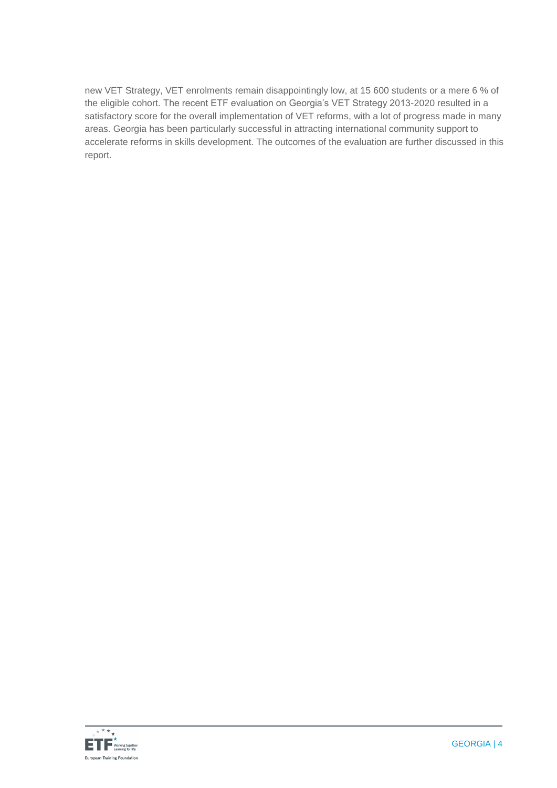new VET Strategy, VET enrolments remain disappointingly low, at 15 600 students or a mere 6 % of the eligible cohort. The recent ETF evaluation on Georgia's VET Strategy 2013-2020 resulted in a satisfactory score for the overall implementation of VET reforms, with a lot of progress made in many areas. Georgia has been particularly successful in attracting international community support to accelerate reforms in skills development. The outcomes of the evaluation are further discussed in this report.

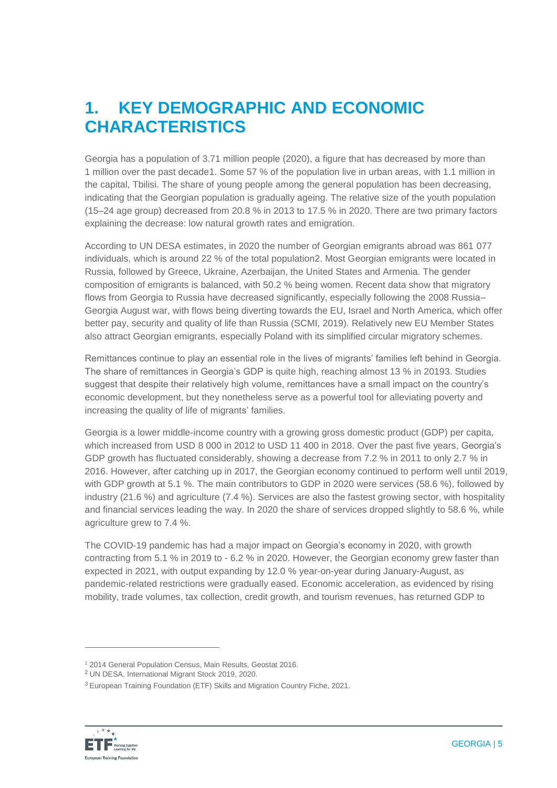## **1. KEY DEMOGRAPHIC AND ECONOMIC CHARACTERISTICS**

Georgia has a population of 3.71 million people (2020), a figure that has decreased by more than 1 million over the past decade1. Some 57 % of the population live in urban areas, with 1.1 million in the capital, Tbilisi. The share of young people among the general population has been decreasing, indicating that the Georgian population is gradually ageing. The relative size of the youth population (15–24 age group) decreased from 20.8 % in 2013 to 17.5 % in 2020. There are two primary factors explaining the decrease: low natural growth rates and emigration.

According to UN DESA estimates, in 2020 the number of Georgian emigrants abroad was 861 077 individuals, which is around 22 % of the total population2. Most Georgian emigrants were located in Russia, followed by Greece, Ukraine, Azerbaijan, the United States and Armenia. The gender composition of emigrants is balanced, with 50.2 % being women. Recent data show that migratory flows from Georgia to Russia have decreased significantly, especially following the 2008 Russia– Georgia August war, with flows being diverting towards the EU, Israel and North America, which offer better pay, security and quality of life than Russia (SCMI, 2019). Relatively new EU Member States also attract Georgian emigrants, especially Poland with its simplified circular migratory schemes.

Remittances continue to play an essential role in the lives of migrants' families left behind in Georgia. The share of remittances in Georgia's GDP is quite high, reaching almost 13 % in 20193. Studies suggest that despite their relatively high volume, remittances have a small impact on the country's economic development, but they nonetheless serve as a powerful tool for alleviating poverty and increasing the quality of life of migrants' families.

Georgia is a lower middle-income country with a growing gross domestic product (GDP) per capita, which increased from USD 8 000 in 2012 to USD 11 400 in 2018. Over the past five years, Georgia's GDP growth has fluctuated considerably, showing a decrease from 7.2 % in 2011 to only 2.7 % in 2016. However, after catching up in 2017, the Georgian economy continued to perform well until 2019, with GDP growth at 5.1 %. The main contributors to GDP in 2020 were services (58.6 %), followed by industry (21.6 %) and agriculture (7.4 %). Services are also the fastest growing sector, with hospitality and financial services leading the way. In 2020 the share of services dropped slightly to 58.6 %, while agriculture grew to 7.4 %.

The COVID-19 pandemic has had a major impact on Georgia's economy in 2020, with growth contracting from 5.1 % in 2019 to - 6.2 % in 2020. However, the Georgian economy grew faster than expected in 2021, with output expanding by 12.0 % year-on-year during January-August, as pandemic-related restrictions were gradually eased. Economic acceleration, as evidenced by rising mobility, trade volumes, tax collection, credit growth, and tourism revenues, has returned GDP to

<sup>3</sup> European Training Foundation (ETF) Skills and Migration Country Fiche, 2021.



<sup>1</sup> 2014 General Population Census, Main Results, Geostat 2016.

<sup>2</sup> UN DESA, International Migrant Stock 2019, 2020.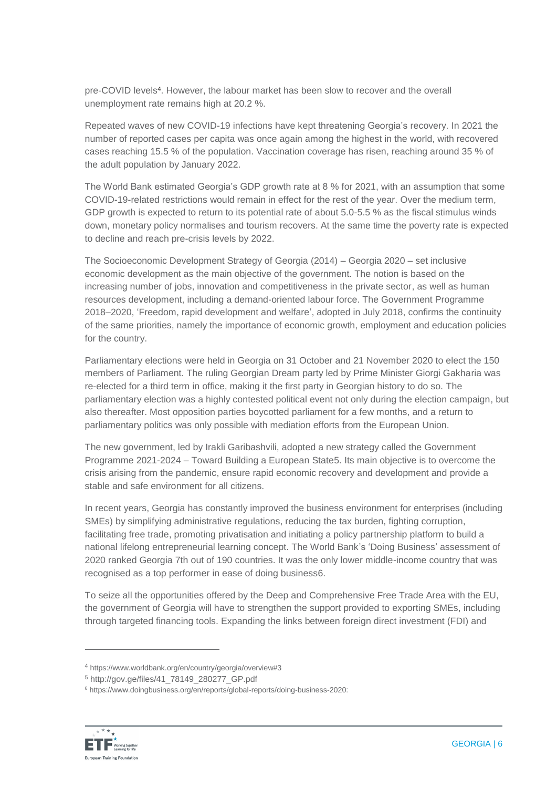pre-COVID levels<sup>4</sup>. However, the labour market has been slow to recover and the overall unemployment rate remains high at 20.2 %.

Repeated waves of new COVID-19 infections have kept threatening Georgia's recovery. In 2021 the number of reported cases per capita was once again among the highest in the world, with recovered cases reaching 15.5 % of the population. Vaccination coverage has risen, reaching around 35 % of the adult population by January 2022.

The World Bank estimated Georgia's GDP growth rate at 8 % for 2021, with an assumption that some COVID-19-related restrictions would remain in effect for the rest of the year. Over the medium term, GDP growth is expected to return to its potential rate of about 5.0-5.5 % as the fiscal stimulus winds down, monetary policy normalises and tourism recovers. At the same time the poverty rate is expected to decline and reach pre-crisis levels by 2022.

The Socioeconomic Development Strategy of Georgia (2014) – Georgia 2020 – set inclusive economic development as the main objective of the government. The notion is based on the increasing number of jobs, innovation and competitiveness in the private sector, as well as human resources development, including a demand-oriented labour force. The Government Programme 2018–2020, 'Freedom, rapid development and welfare', adopted in July 2018, confirms the continuity of the same priorities, namely the importance of economic growth, employment and education policies for the country.

Parliamentary elections were held in Georgia on 31 October and 21 November 2020 to elect the 150 members of Parliament. The ruling Georgian Dream party led by Prime Minister Giorgi Gakharia was re-elected for a third term in office, making it the first party in Georgian history to do so. The parliamentary election was a highly contested political event not only during the election campaign, but also thereafter. Most opposition parties boycotted parliament for a few months, and a return to parliamentary politics was only possible with mediation efforts from the European Union.

The new government, led by Irakli Garibashvili, adopted a new strategy called the Government Programme 2021-2024 – Toward Building a European State5. Its main objective is to overcome the crisis arising from the pandemic, ensure rapid economic recovery and development and provide a stable and safe environment for all citizens.

In recent years, Georgia has constantly improved the business environment for enterprises (including SMEs) by simplifying administrative regulations, reducing the tax burden, fighting corruption, facilitating free trade, promoting privatisation and initiating a policy partnership platform to build a national lifelong entrepreneurial learning concept. The World Bank's 'Doing Business' assessment of 2020 ranked Georgia 7th out of 190 countries. It was the only lower middle-income country that was recognised as a top performer in ease of doing business6.

To seize all the opportunities offered by the Deep and Comprehensive Free Trade Area with the EU, the government of Georgia will have to strengthen the support provided to exporting SMEs, including through targeted financing tools. Expanding the links between foreign direct investment (FDI) and

<sup>6</sup> https://www.doingbusiness.org/en/reports/global-reports/doing-business-2020:



<sup>4</sup> https://www.worldbank.org/en/country/georgia/overview#3

<sup>5</sup> http://gov.ge/files/41\_78149\_280277\_GP.pdf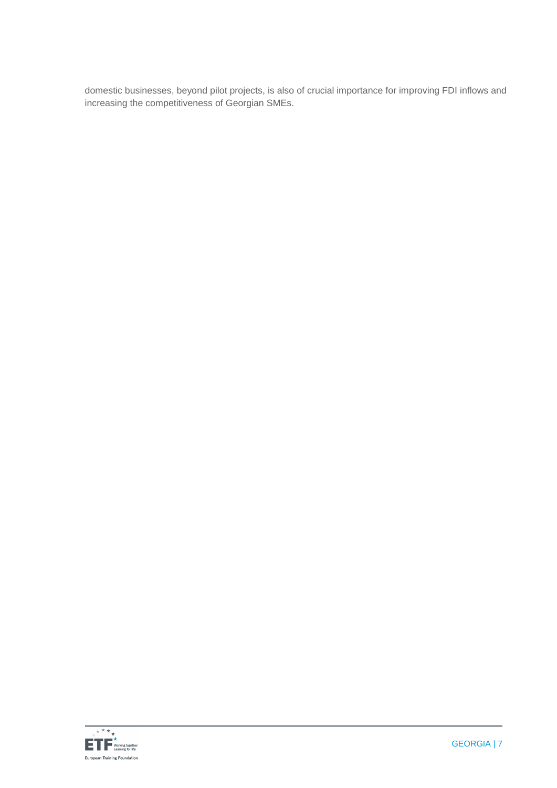domestic businesses, beyond pilot projects, is also of crucial importance for improving FDI inflows and increasing the competitiveness of Georgian SMEs.

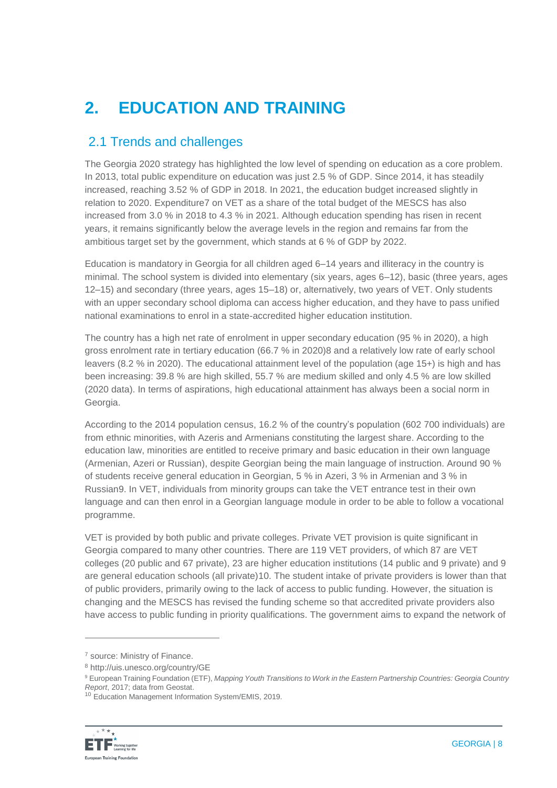# **2. EDUCATION AND TRAINING**

#### 2.1 Trends and challenges

The Georgia 2020 strategy has highlighted the low level of spending on education as a core problem. In 2013, total public expenditure on education was just 2.5 % of GDP. Since 2014, it has steadily increased, reaching 3.52 % of GDP in 2018. In 2021, the education budget increased slightly in relation to 2020. Expenditure7 on VET as a share of the total budget of the MESCS has also increased from 3.0 % in 2018 to 4.3 % in 2021. Although education spending has risen in recent years, it remains significantly below the average levels in the region and remains far from the ambitious target set by the government, which stands at 6 % of GDP by 2022.

Education is mandatory in Georgia for all children aged 6–14 years and illiteracy in the country is minimal. The school system is divided into elementary (six years, ages 6–12), basic (three years, ages 12–15) and secondary (three years, ages 15–18) or, alternatively, two years of VET. Only students with an upper secondary school diploma can access higher education, and they have to pass unified national examinations to enrol in a state-accredited higher education institution.

The country has a high net rate of enrolment in upper secondary education (95 % in 2020), a high gross enrolment rate in tertiary education (66.7 % in 2020)8 and a relatively low rate of early school leavers (8.2 % in 2020). The educational attainment level of the population (age 15+) is high and has been increasing: 39.8 % are high skilled, 55.7 % are medium skilled and only 4.5 % are low skilled (2020 data). In terms of aspirations, high educational attainment has always been a social norm in Georgia.

According to the 2014 population census, 16.2 % of the country's population (602 700 individuals) are from ethnic minorities, with Azeris and Armenians constituting the largest share. According to the education law, minorities are entitled to receive primary and basic education in their own language (Armenian, Azeri or Russian), despite Georgian being the main language of instruction. Around 90 % of students receive general education in Georgian, 5 % in Azeri, 3 % in Armenian and 3 % in Russian9. In VET, individuals from minority groups can take the VET entrance test in their own language and can then enrol in a Georgian language module in order to be able to follow a vocational programme.

VET is provided by both public and private colleges. Private VET provision is quite significant in Georgia compared to many other countries. There are 119 VET providers, of which 87 are VET colleges (20 public and 67 private), 23 are higher education institutions (14 public and 9 private) and 9 are general education schools (all private)10. The student intake of private providers is lower than that of public providers, primarily owing to the lack of access to public funding. However, the situation is changing and the MESCS has revised the funding scheme so that accredited private providers also have access to public funding in priority qualifications. The government aims to expand the network of

<sup>&</sup>lt;sup>10</sup> Education Management Information System/EMIS, 2019.



<sup>7</sup> source: Ministry of Finance.

<sup>8</sup> http://uis.unesco.org/country/GE

<sup>9</sup> European Training Foundation (ETF), *Mapping Youth Transitions to Work in the Eastern Partnership Countries: Georgia Country Report*, 2017; data from Geostat.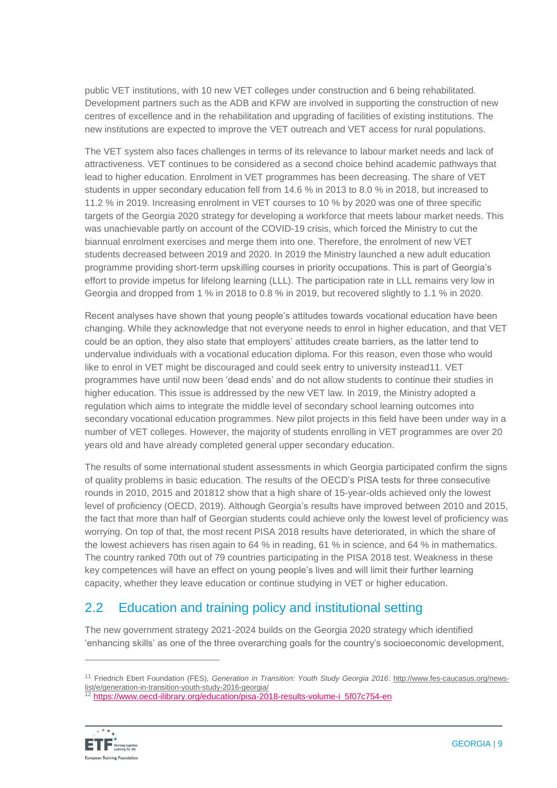public VET institutions, with 10 new VET colleges under construction and 6 being rehabilitated. Development partners such as the ADB and KFW are involved in supporting the construction of new centres of excellence and in the rehabilitation and upgrading of facilities of existing institutions. The new institutions are expected to improve the VET outreach and VET access for rural populations.

The VET system also faces challenges in terms of its relevance to labour market needs and lack of attractiveness. VET continues to be considered as a second choice behind academic pathways that lead to higher education. Enrolment in VET programmes has been decreasing. The share of VET students in upper secondary education fell from 14.6 % in 2013 to 8.0 % in 2018, but increased to 11.2 % in 2019. Increasing enrolment in VET courses to 10 % by 2020 was one of three specific targets of the Georgia 2020 strategy for developing a workforce that meets labour market needs. This was unachievable partly on account of the COVID-19 crisis, which forced the Ministry to cut the biannual enrolment exercises and merge them into one. Therefore, the enrolment of new VET students decreased between 2019 and 2020. In 2019 the Ministry launched a new adult education programme providing short-term upskilling courses in priority occupations. This is part of Georgia's effort to provide impetus for lifelong learning (LLL). The participation rate in LLL remains very low in Georgia and dropped from 1 % in 2018 to 0.8 % in 2019, but recovered slightly to 1.1 % in 2020.

Recent analyses have shown that young people's attitudes towards vocational education have been changing. While they acknowledge that not everyone needs to enrol in higher education, and that VET could be an option, they also state that employers' attitudes create barriers, as the latter tend to undervalue individuals with a vocational education diploma. For this reason, even those who would like to enrol in VET might be discouraged and could seek entry to university instead11. VET programmes have until now been 'dead ends' and do not allow students to continue their studies in higher education. This issue is addressed by the new VET law. In 2019, the Ministry adopted a regulation which aims to integrate the middle level of secondary school learning outcomes into secondary vocational education programmes. New pilot projects in this field have been under way in a number of VET colleges. However, the majority of students enrolling in VET programmes are over 20 years old and have already completed general upper secondary education.

The results of some international student assessments in which Georgia participated confirm the signs of quality problems in basic education. The results of the OECD's PISA tests for three consecutive rounds in 2010, 2015 and 201812 show that a high share of 15-year-olds achieved only the lowest level of proficiency (OECD, 2019). Although Georgia's results have improved between 2010 and 2015, the fact that more than half of Georgian students could achieve only the lowest level of proficiency was worrying. On top of that, the most recent PISA 2018 results have deteriorated, in which the share of the lowest achievers has risen again to 64 % in reading, 61 % in science, and 64 % in mathematics. The country ranked 70th out of 79 countries participating in the PISA 2018 test. Weakness in these key competences will have an effect on young people's lives and will limit their further learning capacity, whether they leave education or continue studying in VET or higher education.

### 2.2 Education and training policy and institutional setting

The new government strategy 2021-2024 builds on the Georgia 2020 strategy which identified 'enhancing skills' as one of the three overarching goals for the country's socioeconomic development,

<sup>12</sup> [https://www.oecd-ilibrary.org/education/pisa-2018-results-volume-i\\_5f07c754-en](https://www.oecd-ilibrary.org/education/pisa-2018-results-volume-i_5f07c754-en)



<sup>11</sup> Friedrich Ebert Foundation (FES), *Generation in Transition: Youth Study Georgia 2016*: [http://www.fes-caucasus.org/news](http://www.fes-caucasus.org/news-list/e/generation-in-transition-youth-study-2016-georgia/)[list/e/generation-in-transition-youth-study-2016-georgia/](http://www.fes-caucasus.org/news-list/e/generation-in-transition-youth-study-2016-georgia/)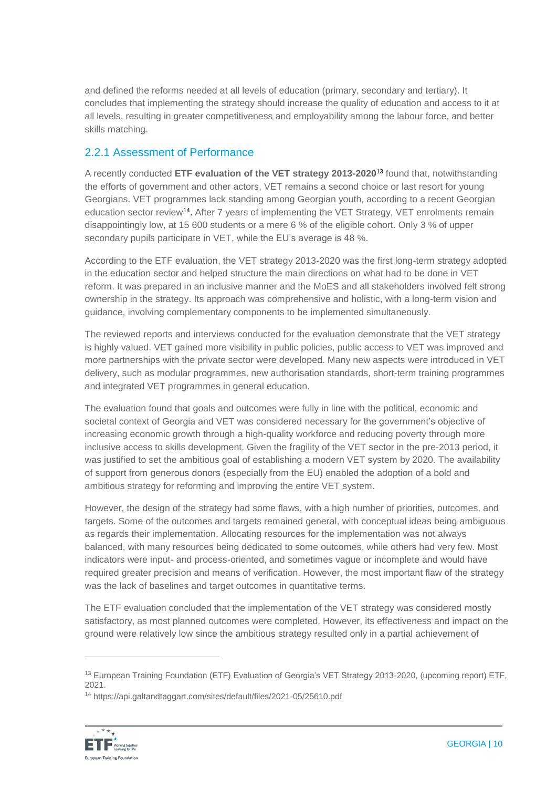and defined the reforms needed at all levels of education (primary, secondary and tertiary). It concludes that implementing the strategy should increase the quality of education and access to it at all levels, resulting in greater competitiveness and employability among the labour force, and better skills matching.

#### 2.2.1 Assessment of Performance

A recently conducted **ETF evaluation of the VET strategy 2013-2020**<sup>13</sup> found that, notwithstanding the efforts of government and other actors, VET remains a second choice or last resort for young Georgians. VET programmes lack standing among Georgian youth, according to a recent Georgian education sector review<sup>14</sup>. After 7 years of implementing the VET Strategy, VET enrolments remain disappointingly low, at 15 600 students or a mere 6 % of the eligible cohort. Only 3 % of upper secondary pupils participate in VET, while the EU's average is 48 %.

According to the ETF evaluation, the VET strategy 2013-2020 was the first long-term strategy adopted in the education sector and helped structure the main directions on what had to be done in VET reform. It was prepared in an inclusive manner and the MoES and all stakeholders involved felt strong ownership in the strategy. Its approach was comprehensive and holistic, with a long-term vision and guidance, involving complementary components to be implemented simultaneously.

The reviewed reports and interviews conducted for the evaluation demonstrate that the VET strategy is highly valued. VET gained more visibility in public policies, public access to VET was improved and more partnerships with the private sector were developed. Many new aspects were introduced in VET delivery, such as modular programmes, new authorisation standards, short-term training programmes and integrated VET programmes in general education.

The evaluation found that goals and outcomes were fully in line with the political, economic and societal context of Georgia and VET was considered necessary for the government's objective of increasing economic growth through a high-quality workforce and reducing poverty through more inclusive access to skills development. Given the fragility of the VET sector in the pre-2013 period, it was justified to set the ambitious goal of establishing a modern VET system by 2020. The availability of support from generous donors (especially from the EU) enabled the adoption of a bold and ambitious strategy for reforming and improving the entire VET system.

However, the design of the strategy had some flaws, with a high number of priorities, outcomes, and targets. Some of the outcomes and targets remained general, with conceptual ideas being ambiguous as regards their implementation. Allocating resources for the implementation was not always balanced, with many resources being dedicated to some outcomes, while others had very few. Most indicators were input- and process-oriented, and sometimes vague or incomplete and would have required greater precision and means of verification. However, the most important flaw of the strategy was the lack of baselines and target outcomes in quantitative terms.

The ETF evaluation concluded that the implementation of the VET strategy was considered mostly satisfactory, as most planned outcomes were completed. However, its effectiveness and impact on the ground were relatively low since the ambitious strategy resulted only in a partial achievement of

<sup>14</sup> https://api.galtandtaggart.com/sites/default/files/2021-05/25610.pdf



<sup>&</sup>lt;sup>13</sup> European Training Foundation (ETF) Evaluation of Georgia's VET Strategy 2013-2020, (upcoming report) ETF, 2021.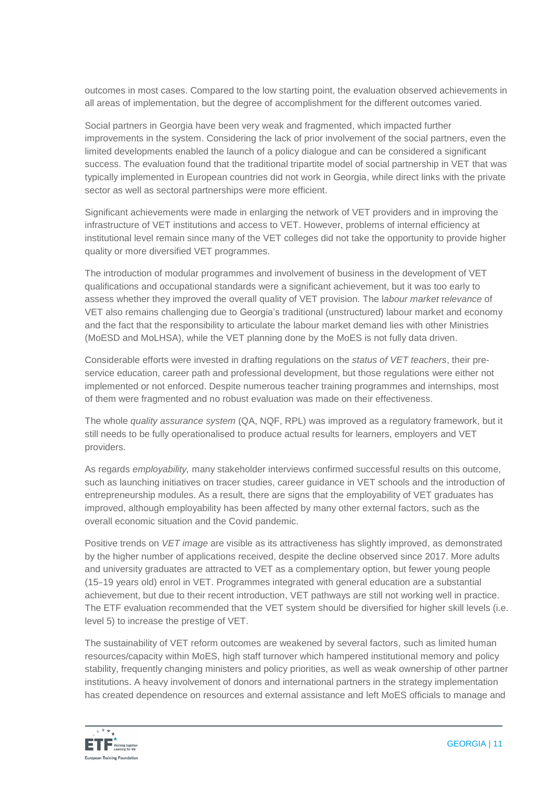outcomes in most cases. Compared to the low starting point, the evaluation observed achievements in all areas of implementation, but the degree of accomplishment for the different outcomes varied.

Social partners in Georgia have been very weak and fragmented, which impacted further improvements in the system. Considering the lack of prior involvement of the social partners, even the limited developments enabled the launch of a policy dialogue and can be considered a significant success. The evaluation found that the traditional tripartite model of social partnership in VET that was typically implemented in European countries did not work in Georgia, while direct links with the private sector as well as sectoral partnerships were more efficient.

Significant achievements were made in enlarging the network of VET providers and in improving the infrastructure of VET institutions and access to VET. However, problems of internal efficiency at institutional level remain since many of the VET colleges did not take the opportunity to provide higher quality or more diversified VET programmes.

The introduction of modular programmes and involvement of business in the development of VET qualifications and occupational standards were a significant achievement, but it was too early to assess whether they improved the overall quality of VET provision. The l*abour market* r*elevance* of VET also remains challenging due to Georgia's traditional (unstructured) labour market and economy and the fact that the responsibility to articulate the labour market demand lies with other Ministries (MoESD and MoLHSA), while the VET planning done by the MoES is not fully data driven.

Considerable efforts were invested in drafting regulations on the *status of VET teachers*, their preservice education, career path and professional development, but those regulations were either not implemented or not enforced. Despite numerous teacher training programmes and internships, most of them were fragmented and no robust evaluation was made on their effectiveness.

The whole *quality assurance system* (QA, NQF, RPL) was improved as a regulatory framework, but it still needs to be fully operationalised to produce actual results for learners, employers and VET providers.

As regards *employability,* many stakeholder interviews confirmed successful results on this outcome, such as launching initiatives on tracer studies, career guidance in VET schools and the introduction of entrepreneurship modules. As a result, there are signs that the employability of VET graduates has improved, although employability has been affected by many other external factors, such as the overall economic situation and the Covid pandemic.

Positive trends on *VET image* are visible as its attractiveness has slightly improved, as demonstrated by the higher number of applications received, despite the decline observed since 2017. More adults and university graduates are attracted to VET as a complementary option, but fewer young people (15–19 years old) enrol in VET. Programmes integrated with general education are a substantial achievement, but due to their recent introduction, VET pathways are still not working well in practice. The ETF evaluation recommended that the VET system should be diversified for higher skill levels (i.e. level 5) to increase the prestige of VET.

The sustainability of VET reform outcomes are weakened by several factors, such as limited human resources/capacity within MoES, high staff turnover which hampered institutional memory and policy stability, frequently changing ministers and policy priorities, as well as weak ownership of other partner institutions. A heavy involvement of donors and international partners in the strategy implementation has created dependence on resources and external assistance and left MoES officials to manage and

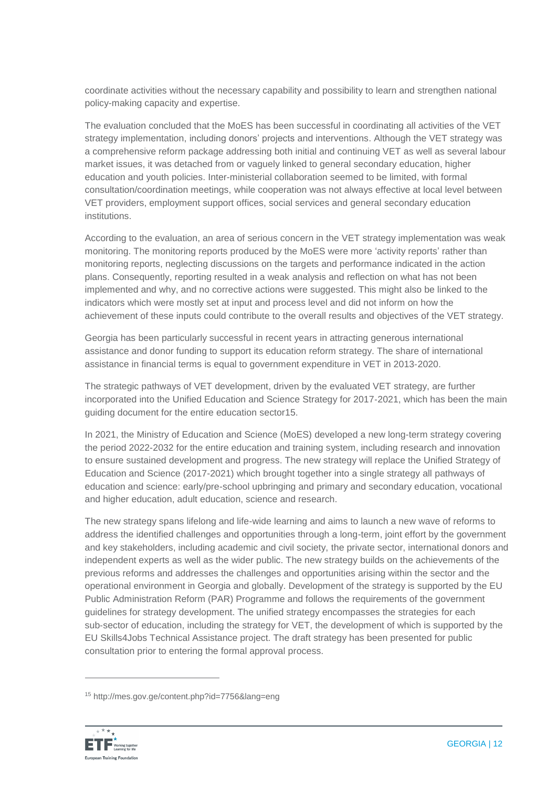coordinate activities without the necessary capability and possibility to learn and strengthen national policy-making capacity and expertise.

The evaluation concluded that the MoES has been successful in coordinating all activities of the VET strategy implementation, including donors' projects and interventions. Although the VET strategy was a comprehensive reform package addressing both initial and continuing VET as well as several labour market issues, it was detached from or vaguely linked to general secondary education, higher education and youth policies. Inter-ministerial collaboration seemed to be limited, with formal consultation/coordination meetings, while cooperation was not always effective at local level between VET providers, employment support offices, social services and general secondary education institutions.

According to the evaluation, an area of serious concern in the VET strategy implementation was weak monitoring. The monitoring reports produced by the MoES were more 'activity reports' rather than monitoring reports, neglecting discussions on the targets and performance indicated in the action plans. Consequently, reporting resulted in a weak analysis and reflection on what has not been implemented and why, and no corrective actions were suggested. This might also be linked to the indicators which were mostly set at input and process level and did not inform on how the achievement of these inputs could contribute to the overall results and objectives of the VET strategy.

Georgia has been particularly successful in recent years in attracting generous international assistance and donor funding to support its education reform strategy. The share of international assistance in financial terms is equal to government expenditure in VET in 2013-2020.

The strategic pathways of VET development, driven by the evaluated VET strategy, are further incorporated into the Unified Education and Science Strategy for 2017‑2021, which has been the main guiding document for the entire education sector15.

In 2021, the Ministry of Education and Science (MoES) developed a new long-term strategy covering the period 2022-2032 for the entire education and training system, including research and innovation to ensure sustained development and progress. The new strategy will replace the Unified Strategy of Education and Science (2017-2021) which brought together into a single strategy all pathways of education and science: early/pre-school upbringing and primary and secondary education, vocational and higher education, adult education, science and research.

The new strategy spans lifelong and life-wide learning and aims to launch a new wave of reforms to address the identified challenges and opportunities through a long-term, joint effort by the government and key stakeholders, including academic and civil society, the private sector, international donors and independent experts as well as the wider public. The new strategy builds on the achievements of the previous reforms and addresses the challenges and opportunities arising within the sector and the operational environment in Georgia and globally. Development of the strategy is supported by the EU Public Administration Reform (PAR) Programme and follows the requirements of the government guidelines for strategy development. The unified strategy encompasses the strategies for each sub-sector of education, including the strategy for VET, the development of which is supported by the EU Skills4Jobs Technical Assistance project. The draft strategy has been presented for public consultation prior to entering the formal approval process.

<sup>15</sup> http://mes.gov.ge/content.php?id=7756&lang=eng

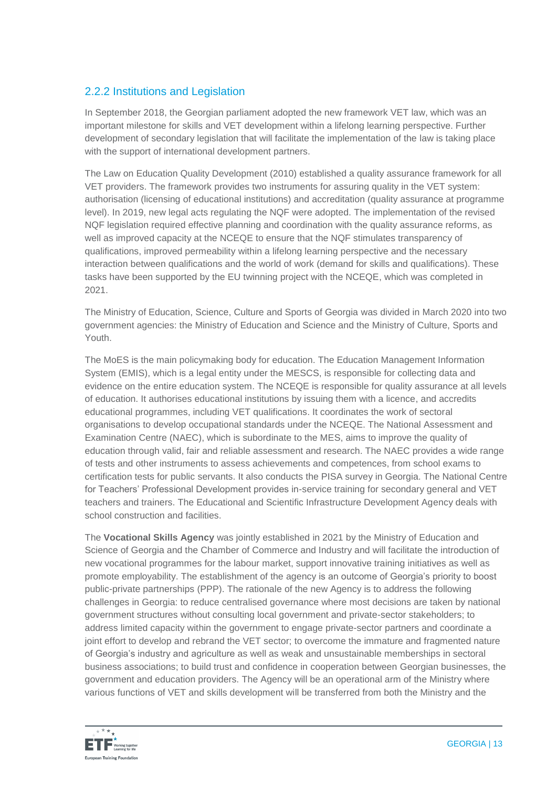#### 2.2.2 Institutions and Legislation

In September 2018, the Georgian parliament adopted the new framework VET law, which was an important milestone for skills and VET development within a lifelong learning perspective. Further development of secondary legislation that will facilitate the implementation of the law is taking place with the support of international development partners.

The Law on Education Quality Development (2010) established a quality assurance framework for all VET providers. The framework provides two instruments for assuring quality in the VET system: authorisation (licensing of educational institutions) and accreditation (quality assurance at programme level). In 2019, new legal acts regulating the NQF were adopted. The implementation of the revised NQF legislation required effective planning and coordination with the quality assurance reforms, as well as improved capacity at the NCEQE to ensure that the NQF stimulates transparency of qualifications, improved permeability within a lifelong learning perspective and the necessary interaction between qualifications and the world of work (demand for skills and qualifications). These tasks have been supported by the EU twinning project with the NCEQE, which was completed in 2021.

The Ministry of Education, Science, Culture and Sports of Georgia was divided in March 2020 into two government agencies: the Ministry of Education and Science and the Ministry of Culture, Sports and Youth.

The MoES is the main policymaking body for education. The Education Management Information System (EMIS), which is a legal entity under the MESCS, is responsible for collecting data and evidence on the entire education system. The NCEQE is responsible for quality assurance at all levels of education. It authorises educational institutions by issuing them with a licence, and accredits educational programmes, including VET qualifications. It coordinates the work of sectoral organisations to develop occupational standards under the NCEQE. The National Assessment and Examination Centre (NAEC), which is subordinate to the MES, aims to improve the quality of education through valid, fair and reliable assessment and research. The NAEC provides a wide range of tests and other instruments to assess achievements and competences, from school exams to certification tests for public servants. It also conducts the PISA survey in Georgia. The National Centre for Teachers' Professional Development provides in-service training for secondary general and VET teachers and trainers. The Educational and Scientific Infrastructure Development Agency deals with school construction and facilities.

The **Vocational Skills Agency** was jointly established in 2021 by the Ministry of Education and Science of Georgia and the Chamber of Commerce and Industry and will facilitate the introduction of new vocational programmes for the labour market, support innovative training initiatives as well as promote employability. The establishment of the agency is an outcome of Georgia's priority to boost public-private partnerships (PPP). The rationale of the new Agency is to address the following challenges in Georgia: to reduce centralised governance where most decisions are taken by national government structures without consulting local government and private-sector stakeholders; to address limited capacity within the government to engage private-sector partners and coordinate a joint effort to develop and rebrand the VET sector; to overcome the immature and fragmented nature of Georgia's industry and agriculture as well as weak and unsustainable memberships in sectoral business associations; to build trust and confidence in cooperation between Georgian businesses, the government and education providers. The Agency will be an operational arm of the Ministry where various functions of VET and skills development will be transferred from both the Ministry and the

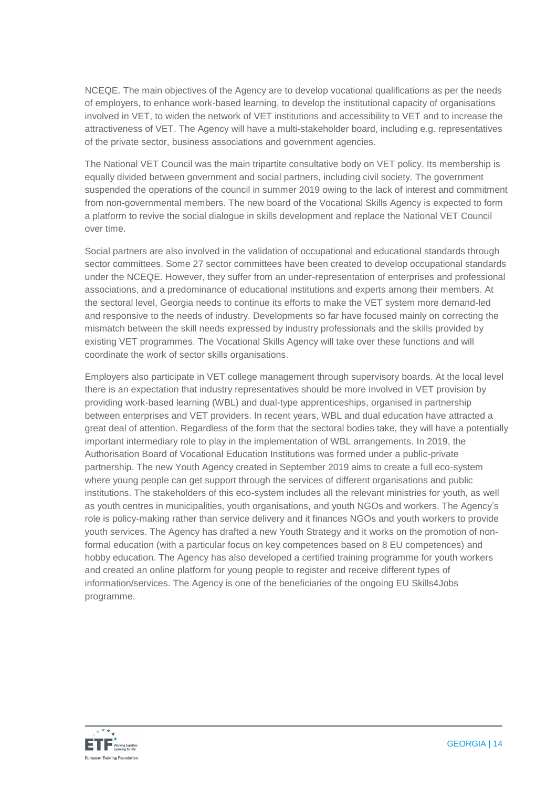NCEQE. The main objectives of the Agency are to develop vocational qualifications as per the needs of employers, to enhance work-based learning, to develop the institutional capacity of organisations involved in VET, to widen the network of VET institutions and accessibility to VET and to increase the attractiveness of VET. The Agency will have a multi-stakeholder board, including e.g. representatives of the private sector, business associations and government agencies.

The National VET Council was the main tripartite consultative body on VET policy. Its membership is equally divided between government and social partners, including civil society. The government suspended the operations of the council in summer 2019 owing to the lack of interest and commitment from non-governmental members. The new board of the Vocational Skills Agency is expected to form a platform to revive the social dialogue in skills development and replace the National VET Council over time.

Social partners are also involved in the validation of occupational and educational standards through sector committees. Some 27 sector committees have been created to develop occupational standards under the NCEQE. However, they suffer from an under-representation of enterprises and professional associations, and a predominance of educational institutions and experts among their members. At the sectoral level, Georgia needs to continue its efforts to make the VET system more demand-led and responsive to the needs of industry. Developments so far have focused mainly on correcting the mismatch between the skill needs expressed by industry professionals and the skills provided by existing VET programmes. The Vocational Skills Agency will take over these functions and will coordinate the work of sector skills organisations.

Employers also participate in VET college management through supervisory boards. At the local level there is an expectation that industry representatives should be more involved in VET provision by providing work-based learning (WBL) and dual-type apprenticeships, organised in partnership between enterprises and VET providers. In recent years, WBL and dual education have attracted a great deal of attention. Regardless of the form that the sectoral bodies take, they will have a potentially important intermediary role to play in the implementation of WBL arrangements. In 2019, the Authorisation Board of Vocational Education Institutions was formed under a public-private partnership. The new Youth Agency created in September 2019 aims to create a full eco-system where young people can get support through the services of different organisations and public institutions. The stakeholders of this eco-system includes all the relevant ministries for youth, as well as youth centres in municipalities, youth organisations, and youth NGOs and workers. The Agency's role is policy-making rather than service delivery and it finances NGOs and youth workers to provide youth services. The Agency has drafted a new Youth Strategy and it works on the promotion of nonformal education (with a particular focus on key competences based on 8 EU competences) and hobby education. The Agency has also developed a certified training programme for youth workers and created an online platform for young people to register and receive different types of information/services. The Agency is one of the beneficiaries of the ongoing EU Skills4Jobs programme.

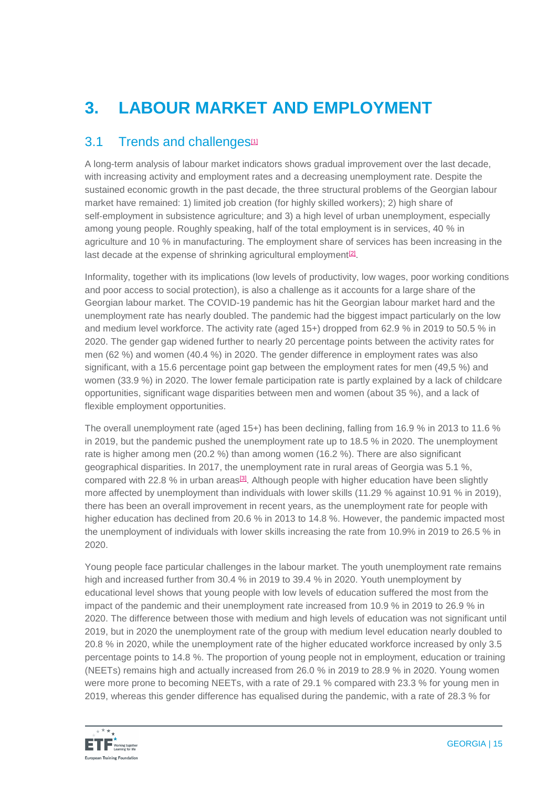# **3. LABOUR MARKET AND EMPLOYMENT**

#### 3.1 Trends and challenges<sup>[\[1\]](https://euc-word-edit.officeapps.live.com/we/wordeditorframe.aspx?ui=en%2DGB&rs=en%2DUS&wopisrc=https%3A%2F%2Feuropeantrainingfoundation.sharepoint.com%2Fsites%2FImage%2Fgeorgia%2F_vti_bin%2Fwopi.ashx%2Ffiles%2F0081a11ed7c54055b3f99b7971c11cc7&wdenableroaming=1&mscc=1&hid=32F518A0-8012-3000-A962-B40A007CC6AD&wdorigin=Other&jsapi=1&jsapiver=v1&newsession=1&corrid=1183694b-973d-6afc-d21d-f138b6665f49&usid=1183694b-973d-6afc-d21d-f138b6665f49&sftc=1&mtf=1&sfp=1&instantedit=1&wopicomplete=1&wdredirectionreason=Unified_SingleFlush&preseededsessionkey=b4d0c2d0-be36-7234-9f22-8723c7ef6f4a&preseededwacsessionid=1183694b-973d-6afc-d21d-f138b6665f49&rct=Medium&ctp=LeastProtected#_ftn1)</sup>

A long-term analysis of labour market indicators shows gradual improvement over the last decade, with increasing activity and employment rates and a decreasing unemployment rate. Despite the sustained economic growth in the past decade, the three structural problems of the Georgian labour market have remained: 1) limited job creation (for highly skilled workers); 2) high share of self-employment in subsistence agriculture; and 3) a high level of urban unemployment, especially among young people. Roughly speaking, half of the total employment is in services, 40 % in agriculture and 10 % in manufacturing. The employment share of services has been increasing in the last decade at the expense of shrinking agricultural employment<sup>[\[2\]](https://euc-word-edit.officeapps.live.com/we/wordeditorframe.aspx?ui=en%2DGB&rs=en%2DUS&wopisrc=https%3A%2F%2Feuropeantrainingfoundation.sharepoint.com%2Fsites%2FImage%2Fgeorgia%2F_vti_bin%2Fwopi.ashx%2Ffiles%2F0081a11ed7c54055b3f99b7971c11cc7&wdenableroaming=1&mscc=1&hid=32F518A0-8012-3000-A962-B40A007CC6AD&wdorigin=Other&jsapi=1&jsapiver=v1&newsession=1&corrid=1183694b-973d-6afc-d21d-f138b6665f49&usid=1183694b-973d-6afc-d21d-f138b6665f49&sftc=1&mtf=1&sfp=1&instantedit=1&wopicomplete=1&wdredirectionreason=Unified_SingleFlush&preseededsessionkey=b4d0c2d0-be36-7234-9f22-8723c7ef6f4a&preseededwacsessionid=1183694b-973d-6afc-d21d-f138b6665f49&rct=Medium&ctp=LeastProtected#_ftn2)</sup>.

Informality, together with its implications (low levels of productivity, low wages, poor working conditions and poor access to social protection), is also a challenge as it accounts for a large share of the Georgian labour market. The COVID-19 pandemic has hit the Georgian labour market hard and the unemployment rate has nearly doubled. The pandemic had the biggest impact particularly on the low and medium level workforce. The activity rate (aged 15+) dropped from 62.9 % in 2019 to 50.5 % in 2020. The gender gap widened further to nearly 20 percentage points between the activity rates for men (62 %) and women (40.4 %) in 2020. The gender difference in employment rates was also significant, with a 15.6 percentage point gap between the employment rates for men (49.5 %) and women (33.9 %) in 2020. The lower female participation rate is partly explained by a lack of childcare opportunities, significant wage disparities between men and women (about 35 %), and a lack of flexible employment opportunities.

The overall unemployment rate (aged 15+) has been declining, falling from 16.9 % in 2013 to 11.6 % in 2019, but the pandemic pushed the unemployment rate up to 18.5 % in 2020. The unemployment rate is higher among men (20.2 %) than among women (16.2 %). There are also significant geographical disparities. In 2017, the unemployment rate in rural areas of Georgia was 5.1 %, compared with 22.8 % in urban areas<sup>[\[3\]](https://euc-word-edit.officeapps.live.com/we/wordeditorframe.aspx?ui=en%2DGB&rs=en%2DUS&wopisrc=https%3A%2F%2Feuropeantrainingfoundation.sharepoint.com%2Fsites%2FImage%2Fgeorgia%2F_vti_bin%2Fwopi.ashx%2Ffiles%2F0081a11ed7c54055b3f99b7971c11cc7&wdenableroaming=1&mscc=1&hid=32F518A0-8012-3000-A962-B40A007CC6AD&wdorigin=Other&jsapi=1&jsapiver=v1&newsession=1&corrid=1183694b-973d-6afc-d21d-f138b6665f49&usid=1183694b-973d-6afc-d21d-f138b6665f49&sftc=1&mtf=1&sfp=1&instantedit=1&wopicomplete=1&wdredirectionreason=Unified_SingleFlush&preseededsessionkey=b4d0c2d0-be36-7234-9f22-8723c7ef6f4a&preseededwacsessionid=1183694b-973d-6afc-d21d-f138b6665f49&rct=Medium&ctp=LeastProtected#_ftn3)</sup>. Although people with higher education have been slightly more affected by unemployment than individuals with lower skills (11.29 % against 10.91 % in 2019), there has been an overall improvement in recent years, as the unemployment rate for people with higher education has declined from 20.6 % in 2013 to 14.8 %. However, the pandemic impacted most the unemployment of individuals with lower skills increasing the rate from 10.9% in 2019 to 26.5 % in 2020.

Young people face particular challenges in the labour market. The youth unemployment rate remains high and increased further from 30.4 % in 2019 to 39.4 % in 2020. Youth unemployment by educational level shows that young people with low levels of education suffered the most from the impact of the pandemic and their unemployment rate increased from 10.9 % in 2019 to 26.9 % in 2020. The difference between those with medium and high levels of education was not significant until 2019, but in 2020 the unemployment rate of the group with medium level education nearly doubled to 20.8 % in 2020, while the unemployment rate of the higher educated workforce increased by only 3.5 percentage points to 14.8 %. The proportion of young people not in employment, education or training (NEETs) remains high and actually increased from 26.0 % in 2019 to 28.9 % in 2020. Young women were more prone to becoming NEETs, with a rate of 29.1 % compared with 23.3 % for young men in 2019, whereas this gender difference has equalised during the pandemic, with a rate of 28.3 % for

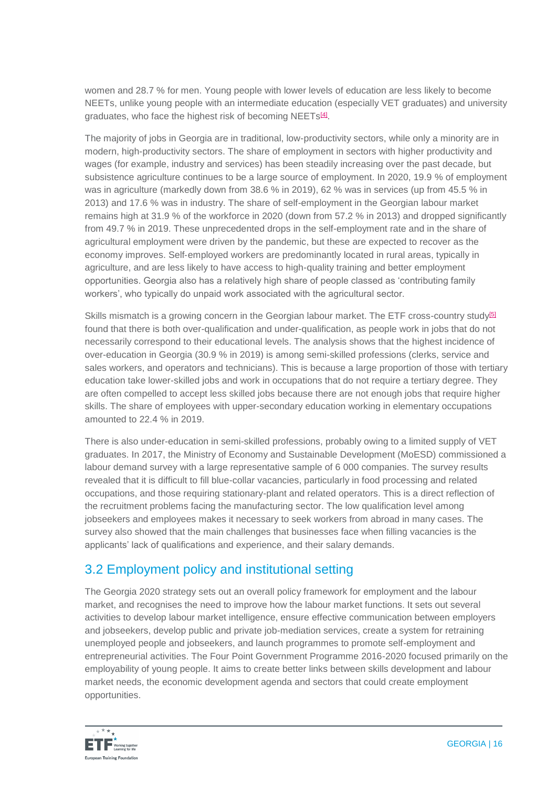women and 28.7 % for men. Young people with lower levels of education are less likely to become NEETs, unlike young people with an intermediate education (especially VET graduates) and university graduates, who face the highest risk of becoming NEETs<sup>[\[4\]](https://euc-word-edit.officeapps.live.com/we/wordeditorframe.aspx?ui=en%2DGB&rs=en%2DUS&wopisrc=https%3A%2F%2Feuropeantrainingfoundation.sharepoint.com%2Fsites%2FImage%2Fgeorgia%2F_vti_bin%2Fwopi.ashx%2Ffiles%2F0081a11ed7c54055b3f99b7971c11cc7&wdenableroaming=1&mscc=1&hid=32F518A0-8012-3000-A962-B40A007CC6AD&wdorigin=Other&jsapi=1&jsapiver=v1&newsession=1&corrid=1183694b-973d-6afc-d21d-f138b6665f49&usid=1183694b-973d-6afc-d21d-f138b6665f49&sftc=1&mtf=1&sfp=1&instantedit=1&wopicomplete=1&wdredirectionreason=Unified_SingleFlush&preseededsessionkey=b4d0c2d0-be36-7234-9f22-8723c7ef6f4a&preseededwacsessionid=1183694b-973d-6afc-d21d-f138b6665f49&rct=Medium&ctp=LeastProtected#_ftn4)</sup>.

The majority of jobs in Georgia are in traditional, low-productivity sectors, while only a minority are in modern, high-productivity sectors. The share of employment in sectors with higher productivity and wages (for example, industry and services) has been steadily increasing over the past decade, but subsistence agriculture continues to be a large source of employment. In 2020, 19.9 % of employment was in agriculture (markedly down from 38.6 % in 2019), 62 % was in services (up from 45.5 % in 2013) and 17.6 % was in industry. The share of self-employment in the Georgian labour market remains high at 31.9 % of the workforce in 2020 (down from 57.2 % in 2013) and dropped significantly from 49.7 % in 2019. These unprecedented drops in the self-employment rate and in the share of agricultural employment were driven by the pandemic, but these are expected to recover as the economy improves. Self-employed workers are predominantly located in rural areas, typically in agriculture, and are less likely to have access to high-quality training and better employment opportunities. Georgia also has a relatively high share of people classed as 'contributing family workers', who typically do unpaid work associated with the agricultural sector.

Skills mismatch is a growing concern in the Georgian labour market. The ETF cross-country study<sup>[\[5\]](https://euc-word-edit.officeapps.live.com/we/wordeditorframe.aspx?ui=en%2DGB&rs=en%2DUS&wopisrc=https%3A%2F%2Feuropeantrainingfoundation.sharepoint.com%2Fsites%2FImage%2Fgeorgia%2F_vti_bin%2Fwopi.ashx%2Ffiles%2F0081a11ed7c54055b3f99b7971c11cc7&wdenableroaming=1&mscc=1&hid=32F518A0-8012-3000-A962-B40A007CC6AD&wdorigin=Other&jsapi=1&jsapiver=v1&newsession=1&corrid=1183694b-973d-6afc-d21d-f138b6665f49&usid=1183694b-973d-6afc-d21d-f138b6665f49&sftc=1&mtf=1&sfp=1&instantedit=1&wopicomplete=1&wdredirectionreason=Unified_SingleFlush&preseededsessionkey=b4d0c2d0-be36-7234-9f22-8723c7ef6f4a&preseededwacsessionid=1183694b-973d-6afc-d21d-f138b6665f49&rct=Medium&ctp=LeastProtected#_ftn5)</sup> found that there is both over-qualification and under-qualification, as people work in jobs that do not necessarily correspond to their educational levels. The analysis shows that the highest incidence of over-education in Georgia (30.9 % in 2019) is among semi-skilled professions (clerks, service and sales workers, and operators and technicians). This is because a large proportion of those with tertiary education take lower-skilled jobs and work in occupations that do not require a tertiary degree. They are often compelled to accept less skilled jobs because there are not enough jobs that require higher skills. The share of employees with upper-secondary education working in elementary occupations amounted to 22.4 % in 2019.

There is also under-education in semi-skilled professions, probably owing to a limited supply of VET graduates. In 2017, the Ministry of Economy and Sustainable Development (MoESD) commissioned a labour demand survey with a large representative sample of 6 000 companies. The survey results revealed that it is difficult to fill blue-collar vacancies, particularly in food processing and related occupations, and those requiring stationary-plant and related operators. This is a direct reflection of the recruitment problems facing the manufacturing sector. The low qualification level among jobseekers and employees makes it necessary to seek workers from abroad in many cases. The survey also showed that the main challenges that businesses face when filling vacancies is the applicants' lack of qualifications and experience, and their salary demands.

### 3.2 Employment policy and institutional setting

The Georgia 2020 strategy sets out an overall policy framework for employment and the labour market, and recognises the need to improve how the labour market functions. It sets out several activities to develop labour market intelligence, ensure effective communication between employers and jobseekers, develop public and private job-mediation services, create a system for retraining unemployed people and jobseekers, and launch programmes to promote self-employment and entrepreneurial activities. The Four Point Government Programme 2016-2020 focused primarily on the employability of young people. It aims to create better links between skills development and labour market needs, the economic development agenda and sectors that could create employment opportunities.

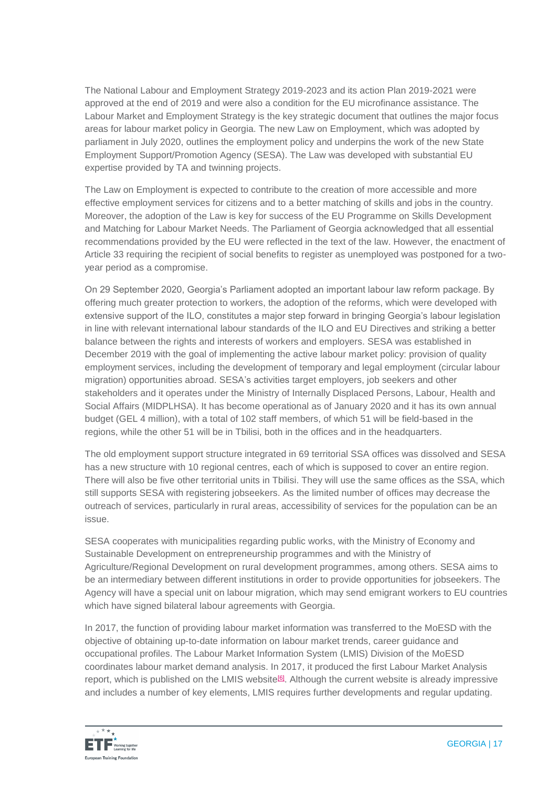The National Labour and Employment Strategy 2019-2023 and its action Plan 2019-2021 were approved at the end of 2019 and were also a condition for the EU microfinance assistance. The Labour Market and Employment Strategy is the key strategic document that outlines the major focus areas for labour market policy in Georgia. The new Law on Employment, which was adopted by parliament in July 2020, outlines the employment policy and underpins the work of the new State Employment Support/Promotion Agency (SESA). The Law was developed with substantial EU expertise provided by TA and twinning projects.

The Law on Employment is expected to contribute to the creation of more accessible and more effective employment services for citizens and to a better matching of skills and jobs in the country. Moreover, the adoption of the Law is key for success of the EU Programme on Skills Development and Matching for Labour Market Needs. The Parliament of Georgia acknowledged that all essential recommendations provided by the EU were reflected in the text of the law. However, the enactment of Article 33 requiring the recipient of social benefits to register as unemployed was postponed for a twoyear period as a compromise.

On 29 September 2020, Georgia's Parliament adopted an important labour law reform package. By offering much greater protection to workers, the adoption of the reforms, which were developed with extensive support of the ILO, constitutes a major step forward in bringing Georgia's labour legislation in line with relevant international labour standards of the ILO and EU Directives and striking a better balance between the rights and interests of workers and employers. SESA was established in December 2019 with the goal of implementing the active labour market policy: provision of quality employment services, including the development of temporary and legal employment (circular labour migration) opportunities abroad. SESA's activities target employers, job seekers and other stakeholders and it operates under the Ministry of Internally Displaced Persons, Labour, Health and Social Affairs (MIDPLHSA). It has become operational as of January 2020 and it has its own annual budget (GEL 4 million), with a total of 102 staff members, of which 51 will be field-based in the regions, while the other 51 will be in Tbilisi, both in the offices and in the headquarters.

The old employment support structure integrated in 69 territorial SSA offices was dissolved and SESA has a new structure with 10 regional centres, each of which is supposed to cover an entire region. There will also be five other territorial units in Tbilisi. They will use the same offices as the SSA, which still supports SESA with registering jobseekers. As the limited number of offices may decrease the outreach of services, particularly in rural areas, accessibility of services for the population can be an issue.

SESA cooperates with municipalities regarding public works, with the Ministry of Economy and Sustainable Development on entrepreneurship programmes and with the Ministry of Agriculture/Regional Development on rural development programmes, among others. SESA aims to be an intermediary between different institutions in order to provide opportunities for jobseekers. The Agency will have a special unit on labour migration, which may send emigrant workers to EU countries which have signed bilateral labour agreements with Georgia.

In 2017, the function of providing labour market information was transferred to the MoESD with the objective of obtaining up-to-date information on labour market trends, career guidance and occupational profiles. The Labour Market Information System (LMIS) Division of the MoESD coordinates labour market demand analysis. In 2017, it produced the first Labour Market Analysis report, which is published on the LMIS website<sup>[\[6\]](https://euc-word-edit.officeapps.live.com/we/wordeditorframe.aspx?ui=en%2DGB&rs=en%2DUS&wopisrc=https%3A%2F%2Feuropeantrainingfoundation.sharepoint.com%2Fsites%2FImage%2Fgeorgia%2F_vti_bin%2Fwopi.ashx%2Ffiles%2F0081a11ed7c54055b3f99b7971c11cc7&wdenableroaming=1&mscc=1&hid=32F518A0-8012-3000-A962-B40A007CC6AD&wdorigin=Other&jsapi=1&jsapiver=v1&newsession=1&corrid=1183694b-973d-6afc-d21d-f138b6665f49&usid=1183694b-973d-6afc-d21d-f138b6665f49&sftc=1&mtf=1&sfp=1&instantedit=1&wopicomplete=1&wdredirectionreason=Unified_SingleFlush&preseededsessionkey=b4d0c2d0-be36-7234-9f22-8723c7ef6f4a&preseededwacsessionid=1183694b-973d-6afc-d21d-f138b6665f49&rct=Medium&ctp=LeastProtected#_ftn6)</sup>. Although the current website is already impressive and includes a number of key elements, LMIS requires further developments and regular updating.

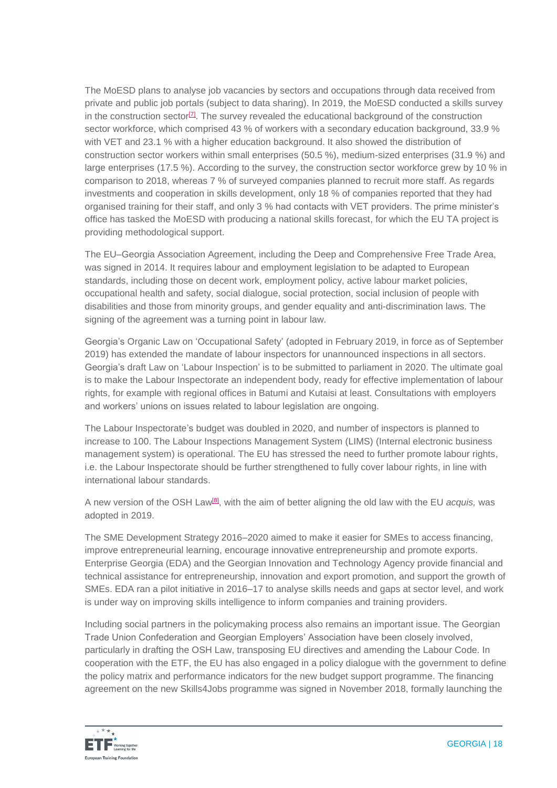The MoESD plans to analyse job vacancies by sectors and occupations through data received from private and public job portals (subject to data sharing). In 2019, the MoESD conducted a skills survey in the construction sector<sup>[\[7\]](https://euc-word-edit.officeapps.live.com/we/wordeditorframe.aspx?ui=en%2DGB&rs=en%2DUS&wopisrc=https%3A%2F%2Feuropeantrainingfoundation.sharepoint.com%2Fsites%2FImage%2Fgeorgia%2F_vti_bin%2Fwopi.ashx%2Ffiles%2F0081a11ed7c54055b3f99b7971c11cc7&wdenableroaming=1&mscc=1&hid=32F518A0-8012-3000-A962-B40A007CC6AD&wdorigin=Other&jsapi=1&jsapiver=v1&newsession=1&corrid=1183694b-973d-6afc-d21d-f138b6665f49&usid=1183694b-973d-6afc-d21d-f138b6665f49&sftc=1&mtf=1&sfp=1&instantedit=1&wopicomplete=1&wdredirectionreason=Unified_SingleFlush&preseededsessionkey=b4d0c2d0-be36-7234-9f22-8723c7ef6f4a&preseededwacsessionid=1183694b-973d-6afc-d21d-f138b6665f49&rct=Medium&ctp=LeastProtected#_ftn7)</sup>. The survey revealed the educational background of the construction sector workforce, which comprised 43 % of workers with a secondary education background, 33.9 % with VET and 23.1 % with a higher education background. It also showed the distribution of construction sector workers within small enterprises (50.5 %), medium-sized enterprises (31.9 %) and large enterprises (17.5 %). According to the survey, the construction sector workforce grew by 10 % in comparison to 2018, whereas 7 % of surveyed companies planned to recruit more staff. As regards investments and cooperation in skills development, only 18 % of companies reported that they had organised training for their staff, and only 3 % had contacts with VET providers. The prime minister's office has tasked the MoESD with producing a national skills forecast, for which the EU TA project is providing methodological support.

The EU–Georgia Association Agreement, including the Deep and Comprehensive Free Trade Area, was signed in 2014. It requires labour and employment legislation to be adapted to European standards, including those on decent work, employment policy, active labour market policies, occupational health and safety, social dialogue, social protection, social inclusion of people with disabilities and those from minority groups, and gender equality and anti-discrimination laws. The signing of the agreement was a turning point in labour law.

Georgia's Organic Law on 'Occupational Safety' (adopted in February 2019, in force as of September 2019) has extended the mandate of labour inspectors for unannounced inspections in all sectors. Georgia's draft Law on 'Labour Inspection' is to be submitted to parliament in 2020. The ultimate goal is to make the Labour Inspectorate an independent body, ready for effective implementation of labour rights, for example with regional offices in Batumi and Kutaisi at least. Consultations with employers and workers' unions on issues related to labour legislation are ongoing.

The Labour Inspectorate's budget was doubled in 2020, and number of inspectors is planned to increase to 100. The Labour Inspections Management System (LIMS) (Internal electronic business management system) is operational. The EU has stressed the need to further promote labour rights, i.e. the Labour Inspectorate should be further strengthened to fully cover labour rights, in line with international labour standards.

A new version of the OSH Law<sup>[\[8\]](https://euc-word-edit.officeapps.live.com/we/wordeditorframe.aspx?ui=en%2DGB&rs=en%2DUS&wopisrc=https%3A%2F%2Feuropeantrainingfoundation.sharepoint.com%2Fsites%2FImage%2Fgeorgia%2F_vti_bin%2Fwopi.ashx%2Ffiles%2F0081a11ed7c54055b3f99b7971c11cc7&wdenableroaming=1&mscc=1&hid=32F518A0-8012-3000-A962-B40A007CC6AD&wdorigin=Other&jsapi=1&jsapiver=v1&newsession=1&corrid=1183694b-973d-6afc-d21d-f138b6665f49&usid=1183694b-973d-6afc-d21d-f138b6665f49&sftc=1&mtf=1&sfp=1&instantedit=1&wopicomplete=1&wdredirectionreason=Unified_SingleFlush&preseededsessionkey=b4d0c2d0-be36-7234-9f22-8723c7ef6f4a&preseededwacsessionid=1183694b-973d-6afc-d21d-f138b6665f49&rct=Medium&ctp=LeastProtected#_ftn8)</sup>, with the aim of better aligning the old law with the EU *acquis*, was adopted in 2019.

The SME Development Strategy 2016–2020 aimed to make it easier for SMEs to access financing, improve entrepreneurial learning, encourage innovative entrepreneurship and promote exports. Enterprise Georgia (EDA) and the Georgian Innovation and Technology Agency provide financial and technical assistance for entrepreneurship, innovation and export promotion, and support the growth of SMEs. EDA ran a pilot initiative in 2016–17 to analyse skills needs and gaps at sector level, and work is under way on improving skills intelligence to inform companies and training providers.

Including social partners in the policymaking process also remains an important issue. The Georgian Trade Union Confederation and Georgian Employers' Association have been closely involved, particularly in drafting the OSH Law, transposing EU directives and amending the Labour Code. In cooperation with the ETF, the EU has also engaged in a policy dialogue with the government to define the policy matrix and performance indicators for the new budget support programme. The financing agreement on the new Skills4Jobs programme was signed in November 2018, formally launching the

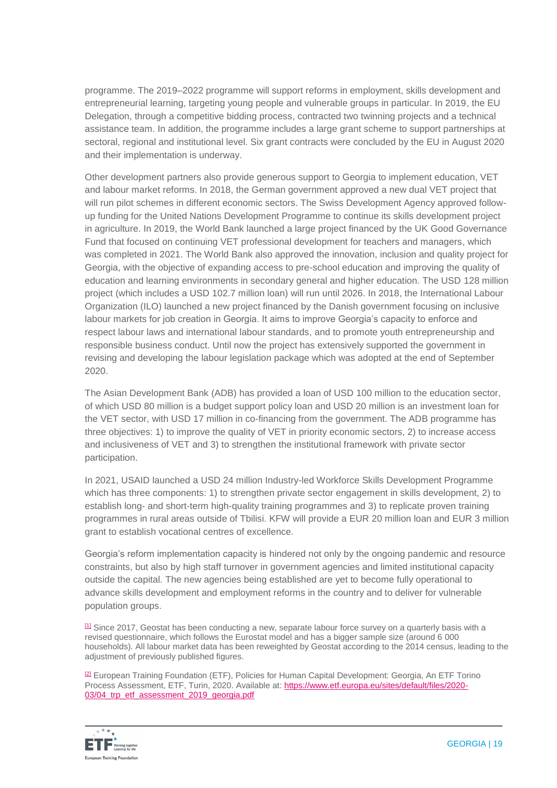programme. The 2019–2022 programme will support reforms in employment, skills development and entrepreneurial learning, targeting young people and vulnerable groups in particular. In 2019, the EU Delegation, through a competitive bidding process, contracted two twinning projects and a technical assistance team. In addition, the programme includes a large grant scheme to support partnerships at sectoral, regional and institutional level. Six grant contracts were concluded by the EU in August 2020 and their implementation is underway.

Other development partners also provide generous support to Georgia to implement education, VET and labour market reforms. In 2018, the German government approved a new dual VET project that will run pilot schemes in different economic sectors. The Swiss Development Agency approved followup funding for the United Nations Development Programme to continue its skills development project in agriculture. In 2019, the World Bank launched a large project financed by the UK Good Governance Fund that focused on continuing VET professional development for teachers and managers, which was completed in 2021. The World Bank also approved the innovation, inclusion and quality project for Georgia, with the objective of expanding access to pre-school education and improving the quality of education and learning environments in secondary general and higher education. The USD 128 million project (which includes a USD 102.7 million loan) will run until 2026. In 2018, the International Labour Organization (ILO) launched a new project financed by the Danish government focusing on inclusive labour markets for job creation in Georgia. It aims to improve Georgia's capacity to enforce and respect labour laws and international labour standards, and to promote youth entrepreneurship and responsible business conduct. Until now the project has extensively supported the government in revising and developing the labour legislation package which was adopted at the end of September 2020.

The Asian Development Bank (ADB) has provided a loan of USD 100 million to the education sector, of which USD 80 million is a budget support policy loan and USD 20 million is an investment loan for the VET sector, with USD 17 million in co-financing from the government. The ADB programme has three objectives: 1) to improve the quality of VET in priority economic sectors, 2) to increase access and inclusiveness of VET and 3) to strengthen the institutional framework with private sector participation.

In 2021, USAID launched a USD 24 million Industry-led Workforce Skills Development Programme which has three components: 1) to strengthen private sector engagement in skills development, 2) to establish long- and short-term high-quality training programmes and 3) to replicate proven training programmes in rural areas outside of Tbilisi. KFW will provide a EUR 20 million loan and EUR 3 million grant to establish vocational centres of excellence.

Georgia's reform implementation capacity is hindered not only by the ongoing pandemic and resource constraints, but also by high staff turnover in government agencies and limited institutional capacity outside the capital. The new agencies being established are yet to become fully operational to advance skills development and employment reforms in the country and to deliver for vulnerable population groups.

[\[1\]](https://euc-word-edit.officeapps.live.com/we/wordeditorframe.aspx?ui=en%2DGB&rs=en%2DUS&wopisrc=https%3A%2F%2Feuropeantrainingfoundation.sharepoint.com%2Fsites%2FImage%2Fgeorgia%2F_vti_bin%2Fwopi.ashx%2Ffiles%2F0081a11ed7c54055b3f99b7971c11cc7&wdenableroaming=1&mscc=1&hid=32F518A0-8012-3000-A962-B40A007CC6AD&wdorigin=Other&jsapi=1&jsapiver=v1&newsession=1&corrid=1183694b-973d-6afc-d21d-f138b6665f49&usid=1183694b-973d-6afc-d21d-f138b6665f49&sftc=1&mtf=1&sfp=1&instantedit=1&wopicomplete=1&wdredirectionreason=Unified_SingleFlush&preseededsessionkey=b4d0c2d0-be36-7234-9f22-8723c7ef6f4a&preseededwacsessionid=1183694b-973d-6afc-d21d-f138b6665f49&rct=Medium&ctp=LeastProtected#_ftnref1) Since 2017, Geostat has been conducting a new, separate labour force survey on a quarterly basis with a revised questionnaire, which follows the Eurostat model and has a bigger sample size (around 6 000 households). All labour market data has been reweighted by Geostat according to the 2014 census, leading to the adjustment of previously published figures.

[\[2\]](https://euc-word-edit.officeapps.live.com/we/wordeditorframe.aspx?ui=en%2DGB&rs=en%2DUS&wopisrc=https%3A%2F%2Feuropeantrainingfoundation.sharepoint.com%2Fsites%2FImage%2Fgeorgia%2F_vti_bin%2Fwopi.ashx%2Ffiles%2F0081a11ed7c54055b3f99b7971c11cc7&wdenableroaming=1&mscc=1&hid=32F518A0-8012-3000-A962-B40A007CC6AD&wdorigin=Other&jsapi=1&jsapiver=v1&newsession=1&corrid=1183694b-973d-6afc-d21d-f138b6665f49&usid=1183694b-973d-6afc-d21d-f138b6665f49&sftc=1&mtf=1&sfp=1&instantedit=1&wopicomplete=1&wdredirectionreason=Unified_SingleFlush&preseededsessionkey=b4d0c2d0-be36-7234-9f22-8723c7ef6f4a&preseededwacsessionid=1183694b-973d-6afc-d21d-f138b6665f49&rct=Medium&ctp=LeastProtected#_ftnref2) European Training Foundation (ETF), Policies for Human Capital Development: Georgia, An ETF Torino Process Assessment, ETF, Turin, 2020. Available at: [https://www.etf.europa.eu/sites/default/files/2020-](https://www.etf.europa.eu/sites/default/files/2020-03/04_trp_etf_assessment_2019_georgia.pdf) [03/04\\_trp\\_etf\\_assessment\\_2019\\_georgia.pdf](https://www.etf.europa.eu/sites/default/files/2020-03/04_trp_etf_assessment_2019_georgia.pdf)

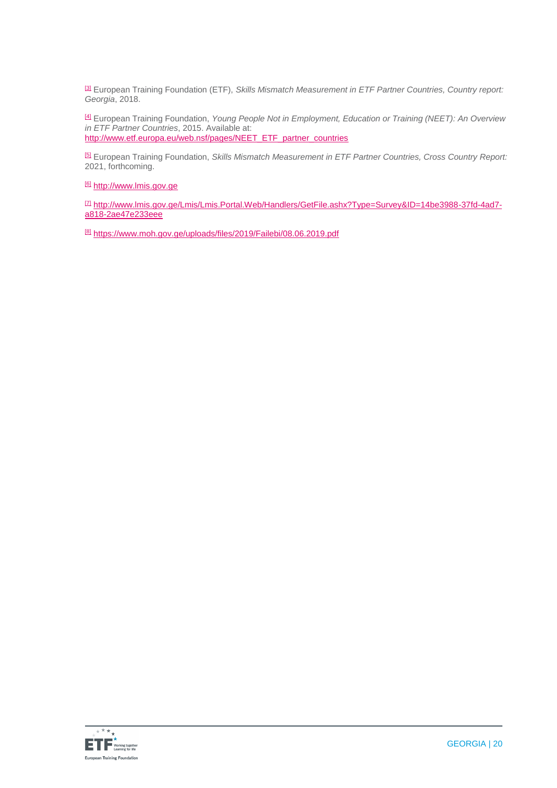[\[3\]](https://euc-word-edit.officeapps.live.com/we/wordeditorframe.aspx?ui=en%2DGB&rs=en%2DUS&wopisrc=https%3A%2F%2Feuropeantrainingfoundation.sharepoint.com%2Fsites%2FImage%2Fgeorgia%2F_vti_bin%2Fwopi.ashx%2Ffiles%2F0081a11ed7c54055b3f99b7971c11cc7&wdenableroaming=1&mscc=1&hid=32F518A0-8012-3000-A962-B40A007CC6AD&wdorigin=Other&jsapi=1&jsapiver=v1&newsession=1&corrid=1183694b-973d-6afc-d21d-f138b6665f49&usid=1183694b-973d-6afc-d21d-f138b6665f49&sftc=1&mtf=1&sfp=1&instantedit=1&wopicomplete=1&wdredirectionreason=Unified_SingleFlush&preseededsessionkey=b4d0c2d0-be36-7234-9f22-8723c7ef6f4a&preseededwacsessionid=1183694b-973d-6afc-d21d-f138b6665f49&rct=Medium&ctp=LeastProtected#_ftnref3) European Training Foundation (ETF), *Skills Mismatch Measurement in ETF Partner Countries, Country report: Georgia*, 2018.

[\[4\]](https://euc-word-edit.officeapps.live.com/we/wordeditorframe.aspx?ui=en%2DGB&rs=en%2DUS&wopisrc=https%3A%2F%2Feuropeantrainingfoundation.sharepoint.com%2Fsites%2FImage%2Fgeorgia%2F_vti_bin%2Fwopi.ashx%2Ffiles%2F0081a11ed7c54055b3f99b7971c11cc7&wdenableroaming=1&mscc=1&hid=32F518A0-8012-3000-A962-B40A007CC6AD&wdorigin=Other&jsapi=1&jsapiver=v1&newsession=1&corrid=1183694b-973d-6afc-d21d-f138b6665f49&usid=1183694b-973d-6afc-d21d-f138b6665f49&sftc=1&mtf=1&sfp=1&instantedit=1&wopicomplete=1&wdredirectionreason=Unified_SingleFlush&preseededsessionkey=b4d0c2d0-be36-7234-9f22-8723c7ef6f4a&preseededwacsessionid=1183694b-973d-6afc-d21d-f138b6665f49&rct=Medium&ctp=LeastProtected#_ftnref4) European Training Foundation, *Young People Not in Employment, Education or Training (NEET): An Overview in ETF Partner Countries*, 2015. Available at: [http://www.etf.europa.eu/web.nsf/pages/NEET\\_ETF\\_partner\\_countries](http://www.etf.europa.eu/web.nsf/pages/NEET_ETF_partner_countries)

[\[5\]](https://euc-word-edit.officeapps.live.com/we/wordeditorframe.aspx?ui=en%2DGB&rs=en%2DUS&wopisrc=https%3A%2F%2Feuropeantrainingfoundation.sharepoint.com%2Fsites%2FImage%2Fgeorgia%2F_vti_bin%2Fwopi.ashx%2Ffiles%2F0081a11ed7c54055b3f99b7971c11cc7&wdenableroaming=1&mscc=1&hid=32F518A0-8012-3000-A962-B40A007CC6AD&wdorigin=Other&jsapi=1&jsapiver=v1&newsession=1&corrid=1183694b-973d-6afc-d21d-f138b6665f49&usid=1183694b-973d-6afc-d21d-f138b6665f49&sftc=1&mtf=1&sfp=1&instantedit=1&wopicomplete=1&wdredirectionreason=Unified_SingleFlush&preseededsessionkey=b4d0c2d0-be36-7234-9f22-8723c7ef6f4a&preseededwacsessionid=1183694b-973d-6afc-d21d-f138b6665f49&rct=Medium&ctp=LeastProtected#_ftnref5) European Training Foundation, *Skills Mismatch Measurement in ETF Partner Countries, Cross Country Report:*  2021, forthcoming.

[\[6\]](https://euc-word-edit.officeapps.live.com/we/wordeditorframe.aspx?ui=en%2DGB&rs=en%2DUS&wopisrc=https%3A%2F%2Feuropeantrainingfoundation.sharepoint.com%2Fsites%2FImage%2Fgeorgia%2F_vti_bin%2Fwopi.ashx%2Ffiles%2F0081a11ed7c54055b3f99b7971c11cc7&wdenableroaming=1&mscc=1&hid=32F518A0-8012-3000-A962-B40A007CC6AD&wdorigin=Other&jsapi=1&jsapiver=v1&newsession=1&corrid=1183694b-973d-6afc-d21d-f138b6665f49&usid=1183694b-973d-6afc-d21d-f138b6665f49&sftc=1&mtf=1&sfp=1&instantedit=1&wopicomplete=1&wdredirectionreason=Unified_SingleFlush&preseededsessionkey=b4d0c2d0-be36-7234-9f22-8723c7ef6f4a&preseededwacsessionid=1183694b-973d-6afc-d21d-f138b6665f49&rct=Medium&ctp=LeastProtected#_ftnref6) [http://www.lmis.gov.ge](http://www.lmis.gov.ge/)

[\[7\]](https://euc-word-edit.officeapps.live.com/we/wordeditorframe.aspx?ui=en%2DGB&rs=en%2DUS&wopisrc=https%3A%2F%2Feuropeantrainingfoundation.sharepoint.com%2Fsites%2FImage%2Fgeorgia%2F_vti_bin%2Fwopi.ashx%2Ffiles%2F0081a11ed7c54055b3f99b7971c11cc7&wdenableroaming=1&mscc=1&hid=32F518A0-8012-3000-A962-B40A007CC6AD&wdorigin=Other&jsapi=1&jsapiver=v1&newsession=1&corrid=1183694b-973d-6afc-d21d-f138b6665f49&usid=1183694b-973d-6afc-d21d-f138b6665f49&sftc=1&mtf=1&sfp=1&instantedit=1&wopicomplete=1&wdredirectionreason=Unified_SingleFlush&preseededsessionkey=b4d0c2d0-be36-7234-9f22-8723c7ef6f4a&preseededwacsessionid=1183694b-973d-6afc-d21d-f138b6665f49&rct=Medium&ctp=LeastProtected#_ftnref7) [http://www.lmis.gov.ge/Lmis/Lmis.Portal.Web/Handlers/GetFile.ashx?Type=Survey&ID=14be3988-37fd-4ad7](http://www.lmis.gov.ge/Lmis/Lmis.Portal.Web/Handlers/GetFile.ashx?Type=Survey&ID=14be3988-37fd-4ad7-a818-2ae47e233eee) [a818-2ae47e233eee](http://www.lmis.gov.ge/Lmis/Lmis.Portal.Web/Handlers/GetFile.ashx?Type=Survey&ID=14be3988-37fd-4ad7-a818-2ae47e233eee)

[\[8\]](https://euc-word-edit.officeapps.live.com/we/wordeditorframe.aspx?ui=en%2DGB&rs=en%2DUS&wopisrc=https%3A%2F%2Feuropeantrainingfoundation.sharepoint.com%2Fsites%2FImage%2Fgeorgia%2F_vti_bin%2Fwopi.ashx%2Ffiles%2F0081a11ed7c54055b3f99b7971c11cc7&wdenableroaming=1&mscc=1&hid=32F518A0-8012-3000-A962-B40A007CC6AD&wdorigin=Other&jsapi=1&jsapiver=v1&newsession=1&corrid=1183694b-973d-6afc-d21d-f138b6665f49&usid=1183694b-973d-6afc-d21d-f138b6665f49&sftc=1&mtf=1&sfp=1&instantedit=1&wopicomplete=1&wdredirectionreason=Unified_SingleFlush&preseededsessionkey=b4d0c2d0-be36-7234-9f22-8723c7ef6f4a&preseededwacsessionid=1183694b-973d-6afc-d21d-f138b6665f49&rct=Medium&ctp=LeastProtected#_ftnref8) <https://www.moh.gov.ge/uploads/files/2019/Failebi/08.06.2019.pdf>

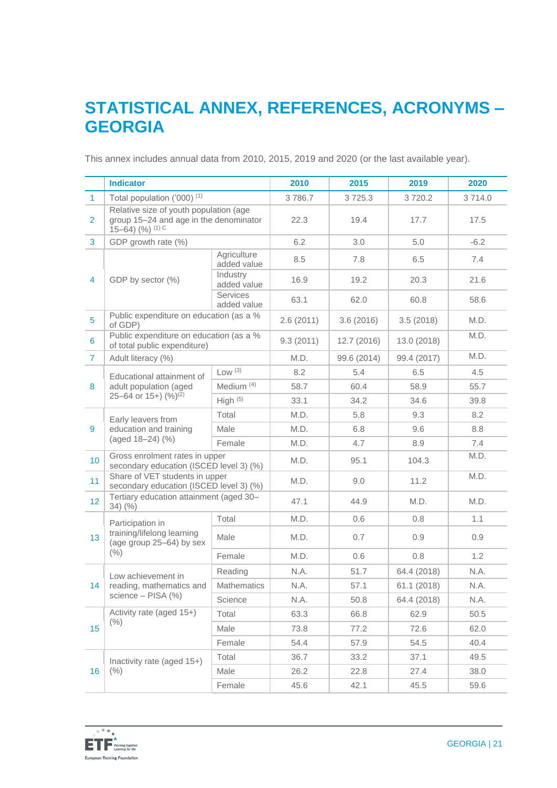### **STATISTICAL ANNEX, REFERENCES, ACRONYMS – GEORGIA**

This annex includes annual data from 2010, 2015, 2019 and 2020 (or the last available year).

|                | <b>Indicator</b>                                                                                             |                            | 2010      | 2015        | 2019        | 2020   |
|----------------|--------------------------------------------------------------------------------------------------------------|----------------------------|-----------|-------------|-------------|--------|
| $\mathbf{1}$   | Total population ('000) <sup>(1)</sup>                                                                       |                            | 3786.7    | 3725.3      | 3720.2      | 3714.0 |
| $\overline{2}$ | Relative size of youth population (age<br>group 15-24 and age in the denominator<br>$15-64$ ) $(%$ ) $(1)$ C |                            | 22.3      | 19.4        | 17.7        | 17.5   |
| 3              | GDP growth rate (%)                                                                                          |                            | 6.2       | 3.0         | 5.0         | $-6.2$ |
|                | GDP by sector (%)                                                                                            | Agriculture<br>added value | 8.5       | 7.8         | 6.5         | 7.4    |
| $\overline{4}$ |                                                                                                              | Industry<br>added value    | 16.9      | 19.2        | 20.3        | 21.6   |
|                |                                                                                                              | Services<br>added value    | 63.1      | 62.0        | 60.8        | 58.6   |
| 5              | Public expenditure on education (as a %<br>of GDP)                                                           |                            | 2.6(2011) | 3.6(2016)   | 3.5(2018)   | M.D.   |
| 6              | Public expenditure on education (as a %<br>of total public expenditure)                                      |                            | 9.3(2011) | 12.7 (2016) | 13.0 (2018) | M.D.   |
| $\mathbf{7}$   | Adult literacy (%)                                                                                           |                            | M.D.      | 99.6 (2014) | 99.4 (2017) | M.D.   |
|                | Educational attainment of                                                                                    | Low (3)                    | 8.2       | 5.4         | 6.5         | 4.5    |
| 8              | adult population (aged                                                                                       | Medium <sup>(4)</sup>      | 58.7      | 60.4        | 58.9        | 55.7   |
|                | 25-64 or $15+$ ) $(%)^{(2)}$                                                                                 | High $(5)$                 | 33.1      | 34.2        | 34.6        | 39.8   |
|                | Early leavers from<br>education and training<br>(aged 18-24) (%)                                             | Total                      | M.D.      | 5.8         | 9.3         | 8.2    |
| 9              |                                                                                                              | Male                       | M.D.      | 6.8         | 9.6         | 8.8    |
|                |                                                                                                              | Female                     | M.D.      | 4.7         | 8.9         | 7.4    |
| 10             | Gross enrolment rates in upper<br>secondary education (ISCED level 3) (%)                                    |                            | M.D.      | 95.1        | 104.3       | M.D.   |
| 11             | Share of VET students in upper<br>secondary education (ISCED level 3) (%)                                    |                            | M.D.      | 9.0         | 11.2        | M.D.   |
| 12             | Tertiary education attainment (aged 30-<br>$34)$ (%)                                                         |                            | 47.1      | 44.9        | M.D.        | M.D.   |
|                | Participation in<br>training/lifelong learning<br>(age group 25-64) by sex<br>$(\% )$                        | Total                      | M.D.      | 0.6         | 0.8         | 1.1    |
| 13             |                                                                                                              | Male                       | M.D.      | 0.7         | 0.9         | 0.9    |
|                |                                                                                                              | Female                     | M.D.      | 0.6         | 0.8         | 1.2    |
|                | Low achievement in<br>reading, mathematics and<br>science - PISA (%)                                         | Reading                    | N.A.      | 51.7        | 64.4 (2018) | N.A.   |
| 14             |                                                                                                              | <b>Mathematics</b>         | N.A.      | 57.1        | 61.1 (2018) | N.A.   |
|                |                                                                                                              | Science                    | N.A.      | 50.8        | 64.4 (2018) | N.A.   |
| 15             | Activity rate (aged 15+)                                                                                     | Total                      | 63.3      | 66.8        | 62.9        | 50.5   |
|                | $(\% )$                                                                                                      | Male                       | 73.8      | 77.2        | 72.6        | 62.0   |
|                |                                                                                                              | Female                     | 54.4      | 57.9        | 54.5        | 40.4   |
|                | Inactivity rate (aged 15+)                                                                                   | Total                      | 36.7      | 33.2        | 37.1        | 49.5   |
| 16             | $(\% )$                                                                                                      | Male                       | 26.2      | 22.8        | 27.4        | 38.0   |
|                |                                                                                                              | Female                     | 45.6      | 42.1        | 45.5        | 59.6   |

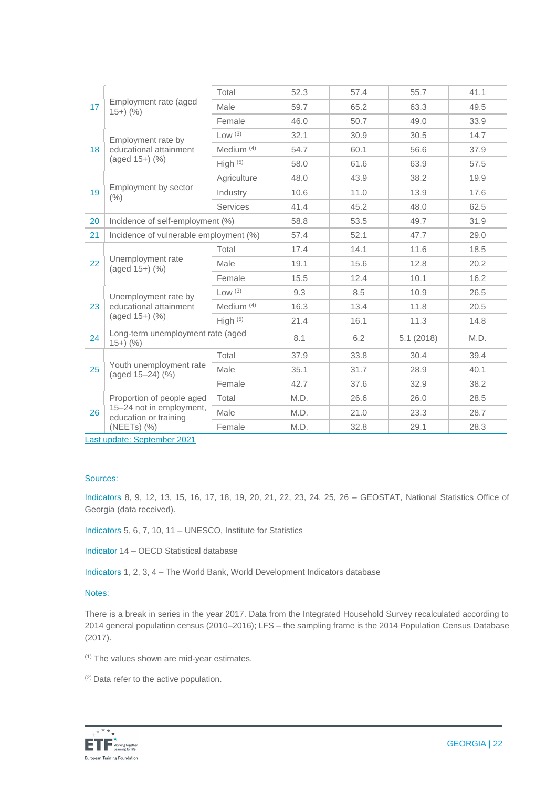| 17 | Employment rate (aged<br>$15+)$ (%)                                            | Total        | 52.3 | 57.4 | 55.7      | 41.1 |
|----|--------------------------------------------------------------------------------|--------------|------|------|-----------|------|
|    |                                                                                | Male         | 59.7 | 65.2 | 63.3      | 49.5 |
|    |                                                                                | Female       | 46.0 | 50.7 | 49.0      | 33.9 |
|    | Employment rate by<br>educational attainment<br>$(aged 15+)$ $(\%)$            | Low (3)      | 32.1 | 30.9 | 30.5      | 14.7 |
| 18 |                                                                                | Medium $(4)$ | 54.7 | 60.1 | 56.6      | 37.9 |
|    |                                                                                | High $(5)$   | 58.0 | 61.6 | 63.9      | 57.5 |
|    | Employment by sector<br>(% )                                                   | Agriculture  | 48.0 | 43.9 | 38.2      | 19.9 |
| 19 |                                                                                | Industry     | 10.6 | 11.0 | 13.9      | 17.6 |
|    |                                                                                | Services     | 41.4 | 45.2 | 48.0      | 62.5 |
| 20 | Incidence of self-employment (%)                                               |              | 58.8 | 53.5 | 49.7      | 31.9 |
| 21 | Incidence of vulnerable employment (%)                                         |              | 57.4 | 52.1 | 47.7      | 29.0 |
|    | Unemployment rate<br>(aged 15+) (%)                                            | Total        | 17.4 | 14.1 | 11.6      | 18.5 |
| 22 |                                                                                | Male         | 19.1 | 15.6 | 12.8      | 20.2 |
|    |                                                                                | Female       | 15.5 | 12.4 | 10.1      | 16.2 |
|    | Unemployment rate by<br>educational attainment<br>(aged 15+) (%)               | Low (3)      | 9.3  | 8.5  | 10.9      | 26.5 |
| 23 |                                                                                | Medium $(4)$ | 16.3 | 13.4 | 11.8      | 20.5 |
|    |                                                                                | High $(5)$   | 21.4 | 16.1 | 11.3      | 14.8 |
| 24 | Long-term unemployment rate (aged<br>$15+)$ (%)                                |              | 8.1  | 6.2  | 5.1(2018) | M.D. |
|    | Youth unemployment rate<br>(aged 15-24) (%)                                    | Total        | 37.9 | 33.8 | 30.4      | 39.4 |
| 25 |                                                                                | Male         | 35.1 | 31.7 | 28.9      | 40.1 |
|    |                                                                                | Female       | 42.7 | 37.6 | 32.9      | 38.2 |
|    | Proportion of people aged<br>15-24 not in employment,<br>education or training | Total        | M.D. | 26.6 | 26.0      | 28.5 |
| 26 |                                                                                | Male         | M.D. | 21.0 | 23.3      | 28.7 |
|    | (NEETs) (%)                                                                    | Female       | M.D. | 32.8 | 29.1      | 28.3 |

Last update: September 2021

#### Sources:

Indicators 8, 9, 12, 13, 15, 16, 17, 18, 19, 20, 21, 22, 23, 24, 25, 26 – GEOSTAT, National Statistics Office of Georgia (data received).

Indicators 5, 6, 7, 10, 11 – UNESCO, Institute for Statistics

Indicator 14 – OECD Statistical database

Indicators 1, 2, 3, 4 – The World Bank, World Development Indicators database

#### Notes:

There is a break in series in the year 2017. Data from the Integrated Household Survey recalculated according to 2014 general population census (2010–2016); LFS – the sampling frame is the 2014 Population Census Database (2017).

(1) The values shown are mid-year estimates.

(2) Data refer to the active population.

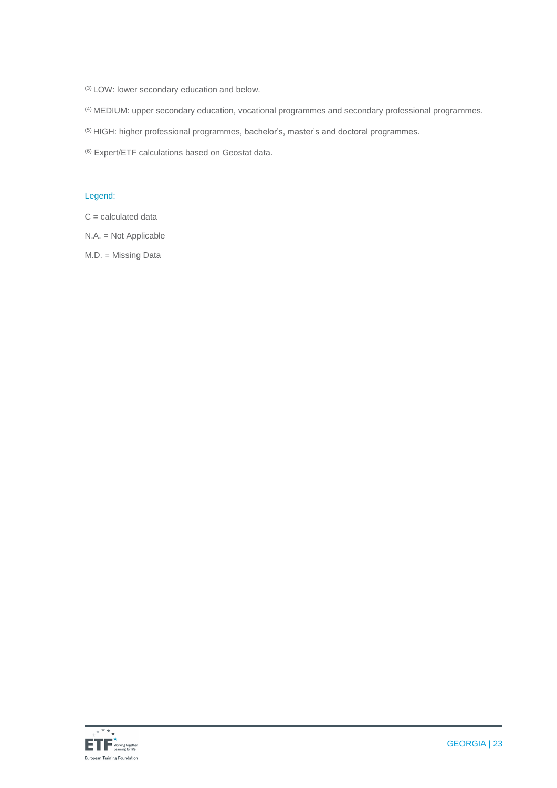(3) LOW: lower secondary education and below.

(4) MEDIUM: upper secondary education, vocational programmes and secondary professional programmes.

(5) HIGH: higher professional programmes, bachelor's, master's and doctoral programmes.

(6) Expert/ETF calculations based on Geostat data.

#### Legend:

 $C =$  calculated data

N.A. = Not Applicable

M.D. = Missing Data

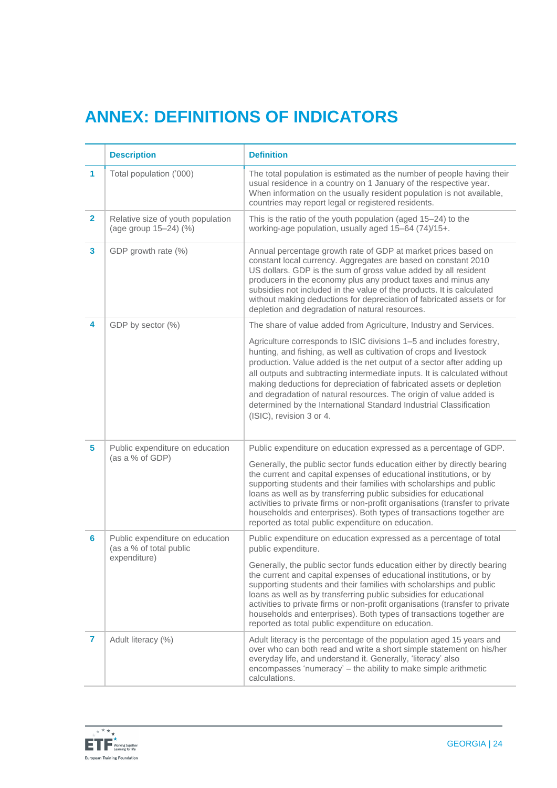## **ANNEX: DEFINITIONS OF INDICATORS**

|                | <b>Description</b>                                         | <b>Definition</b>                                                                                                                                                                                                                                                                                                                                                                                                                                                                                                                                 |
|----------------|------------------------------------------------------------|---------------------------------------------------------------------------------------------------------------------------------------------------------------------------------------------------------------------------------------------------------------------------------------------------------------------------------------------------------------------------------------------------------------------------------------------------------------------------------------------------------------------------------------------------|
| 1              | Total population ('000)                                    | The total population is estimated as the number of people having their<br>usual residence in a country on 1 January of the respective year.<br>When information on the usually resident population is not available,<br>countries may report legal or registered residents.                                                                                                                                                                                                                                                                       |
| $\overline{2}$ | Relative size of youth population<br>(age group 15-24) (%) | This is the ratio of the youth population (aged 15-24) to the<br>working-age population, usually aged 15-64 (74)/15+.                                                                                                                                                                                                                                                                                                                                                                                                                             |
| 3              | GDP growth rate (%)                                        | Annual percentage growth rate of GDP at market prices based on<br>constant local currency. Aggregates are based on constant 2010<br>US dollars. GDP is the sum of gross value added by all resident<br>producers in the economy plus any product taxes and minus any<br>subsidies not included in the value of the products. It is calculated<br>without making deductions for depreciation of fabricated assets or for<br>depletion and degradation of natural resources.                                                                        |
| 4              | GDP by sector (%)                                          | The share of value added from Agriculture, Industry and Services.                                                                                                                                                                                                                                                                                                                                                                                                                                                                                 |
|                |                                                            | Agriculture corresponds to ISIC divisions 1-5 and includes forestry,<br>hunting, and fishing, as well as cultivation of crops and livestock<br>production. Value added is the net output of a sector after adding up<br>all outputs and subtracting intermediate inputs. It is calculated without<br>making deductions for depreciation of fabricated assets or depletion<br>and degradation of natural resources. The origin of value added is<br>determined by the International Standard Industrial Classification<br>(ISIC), revision 3 or 4. |
| 5              | Public expenditure on education<br>(as a % of GDP)         | Public expenditure on education expressed as a percentage of GDP.                                                                                                                                                                                                                                                                                                                                                                                                                                                                                 |
|                |                                                            | Generally, the public sector funds education either by directly bearing<br>the current and capital expenses of educational institutions, or by<br>supporting students and their families with scholarships and public<br>loans as well as by transferring public subsidies for educational<br>activities to private firms or non-profit organisations (transfer to private<br>households and enterprises). Both types of transactions together are<br>reported as total public expenditure on education.                                          |
| 6              | Public expenditure on education<br>(as a % of total public | Public expenditure on education expressed as a percentage of total<br>public expenditure.                                                                                                                                                                                                                                                                                                                                                                                                                                                         |
|                | expenditure)                                               | Generally, the public sector funds education either by directly bearing<br>the current and capital expenses of educational institutions, or by<br>supporting students and their families with scholarships and public<br>loans as well as by transferring public subsidies for educational<br>activities to private firms or non-profit organisations (transfer to private<br>households and enterprises). Both types of transactions together are<br>reported as total public expenditure on education.                                          |
| 7              | Adult literacy (%)                                         | Adult literacy is the percentage of the population aged 15 years and<br>over who can both read and write a short simple statement on his/her<br>everyday life, and understand it. Generally, 'literacy' also<br>encompasses 'numeracy' - the ability to make simple arithmetic<br>calculations.                                                                                                                                                                                                                                                   |

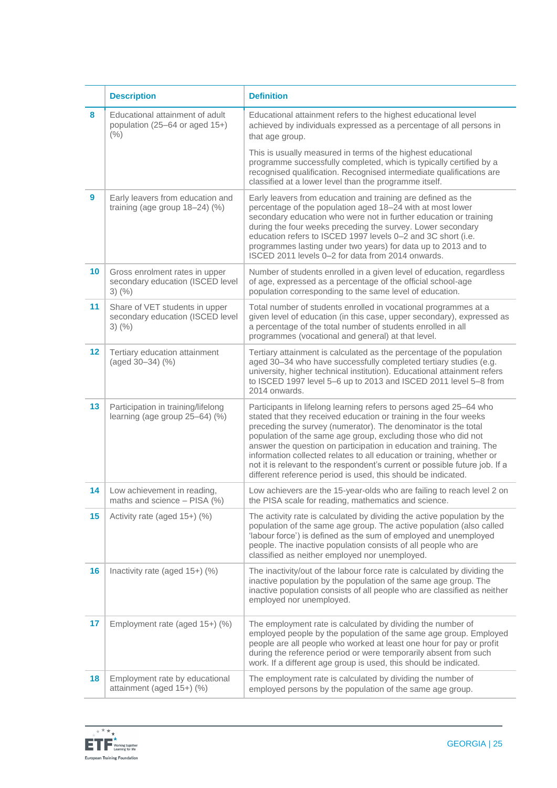|                 | <b>Description</b>                                                                 | <b>Definition</b>                                                                                                                                                                                                                                                                                                                                                                                                                                                                                                                                                           |
|-----------------|------------------------------------------------------------------------------------|-----------------------------------------------------------------------------------------------------------------------------------------------------------------------------------------------------------------------------------------------------------------------------------------------------------------------------------------------------------------------------------------------------------------------------------------------------------------------------------------------------------------------------------------------------------------------------|
| 8               | Educational attainment of adult<br>population (25-64 or aged 15+)<br>(% )          | Educational attainment refers to the highest educational level<br>achieved by individuals expressed as a percentage of all persons in<br>that age group.                                                                                                                                                                                                                                                                                                                                                                                                                    |
|                 |                                                                                    | This is usually measured in terms of the highest educational<br>programme successfully completed, which is typically certified by a<br>recognised qualification. Recognised intermediate qualifications are<br>classified at a lower level than the programme itself.                                                                                                                                                                                                                                                                                                       |
| 9               | Early leavers from education and<br>training (age group $18-24$ ) (%)              | Early leavers from education and training are defined as the<br>percentage of the population aged 18-24 with at most lower<br>secondary education who were not in further education or training<br>during the four weeks preceding the survey. Lower secondary<br>education refers to ISCED 1997 levels 0-2 and 3C short (i.e.<br>programmes lasting under two years) for data up to 2013 and to<br>ISCED 2011 levels 0-2 for data from 2014 onwards.                                                                                                                       |
| 10              | Gross enrolment rates in upper<br>secondary education (ISCED level<br>$3)$ (%)     | Number of students enrolled in a given level of education, regardless<br>of age, expressed as a percentage of the official school-age<br>population corresponding to the same level of education.                                                                                                                                                                                                                                                                                                                                                                           |
| 11              | Share of VET students in upper<br>secondary education (ISCED level<br>$3)$ $(\% )$ | Total number of students enrolled in vocational programmes at a<br>given level of education (in this case, upper secondary), expressed as<br>a percentage of the total number of students enrolled in all<br>programmes (vocational and general) at that level.                                                                                                                                                                                                                                                                                                             |
| 12 <sup>°</sup> | Tertiary education attainment<br>(aged 30-34) (%)                                  | Tertiary attainment is calculated as the percentage of the population<br>aged 30-34 who have successfully completed tertiary studies (e.g.<br>university, higher technical institution). Educational attainment refers<br>to ISCED 1997 level 5-6 up to 2013 and ISCED 2011 level 5-8 from<br>2014 onwards.                                                                                                                                                                                                                                                                 |
| 13              | Participation in training/lifelong<br>learning (age group 25-64) (%)               | Participants in lifelong learning refers to persons aged 25-64 who<br>stated that they received education or training in the four weeks<br>preceding the survey (numerator). The denominator is the total<br>population of the same age group, excluding those who did not<br>answer the question on participation in education and training. The<br>information collected relates to all education or training, whether or<br>not it is relevant to the respondent's current or possible future job. If a<br>different reference period is used, this should be indicated. |
| 14              | Low achievement in reading,<br>maths and science - PISA (%)                        | Low achievers are the 15-year-olds who are failing to reach level 2 on<br>the PISA scale for reading, mathematics and science.                                                                                                                                                                                                                                                                                                                                                                                                                                              |
| 15              | Activity rate (aged 15+) (%)                                                       | The activity rate is calculated by dividing the active population by the<br>population of the same age group. The active population (also called<br>'labour force') is defined as the sum of employed and unemployed<br>people. The inactive population consists of all people who are<br>classified as neither employed nor unemployed.                                                                                                                                                                                                                                    |
| 16              | Inactivity rate (aged 15+) (%)                                                     | The inactivity/out of the labour force rate is calculated by dividing the<br>inactive population by the population of the same age group. The<br>inactive population consists of all people who are classified as neither<br>employed nor unemployed.                                                                                                                                                                                                                                                                                                                       |
| 17              | Employment rate (aged 15+) (%)                                                     | The employment rate is calculated by dividing the number of<br>employed people by the population of the same age group. Employed<br>people are all people who worked at least one hour for pay or profit<br>during the reference period or were temporarily absent from such<br>work. If a different age group is used, this should be indicated.                                                                                                                                                                                                                           |
| 18              | Employment rate by educational<br>attainment (aged 15+) (%)                        | The employment rate is calculated by dividing the number of<br>employed persons by the population of the same age group.                                                                                                                                                                                                                                                                                                                                                                                                                                                    |

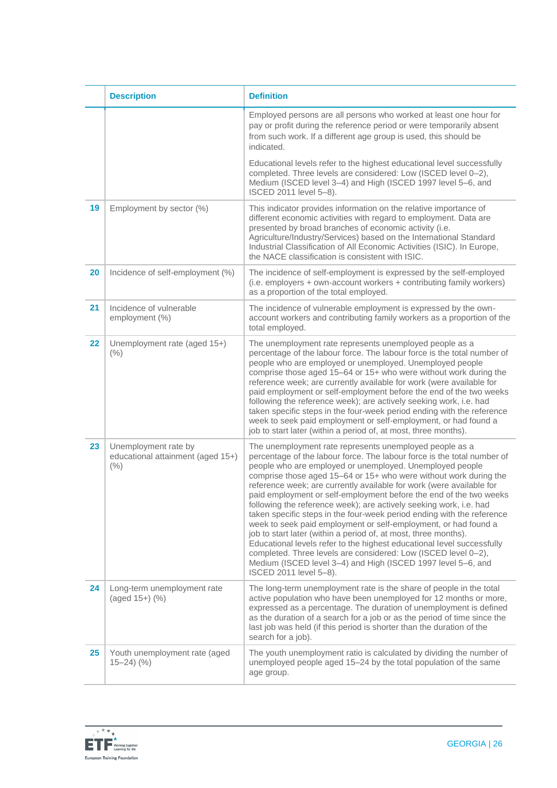|    | <b>Description</b>                                                    | <b>Definition</b>                                                                                                                                                                                                                                                                                                                                                                                                                                                                                                                                                                                                                                                                                                                                                                                                                                                                                                                             |
|----|-----------------------------------------------------------------------|-----------------------------------------------------------------------------------------------------------------------------------------------------------------------------------------------------------------------------------------------------------------------------------------------------------------------------------------------------------------------------------------------------------------------------------------------------------------------------------------------------------------------------------------------------------------------------------------------------------------------------------------------------------------------------------------------------------------------------------------------------------------------------------------------------------------------------------------------------------------------------------------------------------------------------------------------|
|    |                                                                       | Employed persons are all persons who worked at least one hour for<br>pay or profit during the reference period or were temporarily absent<br>from such work. If a different age group is used, this should be<br>indicated.                                                                                                                                                                                                                                                                                                                                                                                                                                                                                                                                                                                                                                                                                                                   |
|    |                                                                       | Educational levels refer to the highest educational level successfully<br>completed. Three levels are considered: Low (ISCED level 0-2),<br>Medium (ISCED level 3-4) and High (ISCED 1997 level 5-6, and<br>ISCED 2011 level 5-8).                                                                                                                                                                                                                                                                                                                                                                                                                                                                                                                                                                                                                                                                                                            |
| 19 | Employment by sector (%)                                              | This indicator provides information on the relative importance of<br>different economic activities with regard to employment. Data are<br>presented by broad branches of economic activity (i.e.<br>Agriculture/Industry/Services) based on the International Standard<br>Industrial Classification of All Economic Activities (ISIC). In Europe,<br>the NACE classification is consistent with ISIC.                                                                                                                                                                                                                                                                                                                                                                                                                                                                                                                                         |
| 20 | Incidence of self-employment (%)                                      | The incidence of self-employment is expressed by the self-employed<br>(i.e. employers + own-account workers + contributing family workers)<br>as a proportion of the total employed.                                                                                                                                                                                                                                                                                                                                                                                                                                                                                                                                                                                                                                                                                                                                                          |
| 21 | Incidence of vulnerable<br>employment (%)                             | The incidence of vulnerable employment is expressed by the own-<br>account workers and contributing family workers as a proportion of the<br>total employed.                                                                                                                                                                                                                                                                                                                                                                                                                                                                                                                                                                                                                                                                                                                                                                                  |
| 22 | Unemployment rate (aged 15+)<br>(% )                                  | The unemployment rate represents unemployed people as a<br>percentage of the labour force. The labour force is the total number of<br>people who are employed or unemployed. Unemployed people<br>comprise those aged 15-64 or 15+ who were without work during the<br>reference week; are currently available for work (were available for<br>paid employment or self-employment before the end of the two weeks<br>following the reference week); are actively seeking work, i.e. had<br>taken specific steps in the four-week period ending with the reference<br>week to seek paid employment or self-employment, or had found a<br>job to start later (within a period of, at most, three months).                                                                                                                                                                                                                                       |
| 23 | Unemployment rate by<br>educational attainment (aged 15+)<br>(% )     | The unemployment rate represents unemployed people as a<br>percentage of the labour force. The labour force is the total number of<br>people who are employed or unemployed. Unemployed people<br>comprise those aged 15-64 or 15+ who were without work during the<br>reference week; are currently available for work (were available for<br>paid employment or self-employment before the end of the two weeks<br>following the reference week); are actively seeking work, i.e. had<br>taken specific steps in the four-week period ending with the reference<br>week to seek paid employment or self-employment, or had found a<br>job to start later (within a period of, at most, three months).<br>Educational levels refer to the highest educational level successfully<br>completed. Three levels are considered: Low (ISCED level 0-2),<br>Medium (ISCED level 3–4) and High (ISCED 1997 level 5–6, and<br>ISCED 2011 level 5-8). |
| 24 | Long-term unemployment rate<br>(aged 15+) (%)                         | The long-term unemployment rate is the share of people in the total<br>active population who have been unemployed for 12 months or more,<br>expressed as a percentage. The duration of unemployment is defined<br>as the duration of a search for a job or as the period of time since the<br>last job was held (if this period is shorter than the duration of the<br>search for a job).                                                                                                                                                                                                                                                                                                                                                                                                                                                                                                                                                     |
| 25 | Youth unemployment rate (aged<br>$15 - 24$ $\left(\frac{9}{6}\right)$ | The youth unemployment ratio is calculated by dividing the number of<br>unemployed people aged 15-24 by the total population of the same<br>age group.                                                                                                                                                                                                                                                                                                                                                                                                                                                                                                                                                                                                                                                                                                                                                                                        |

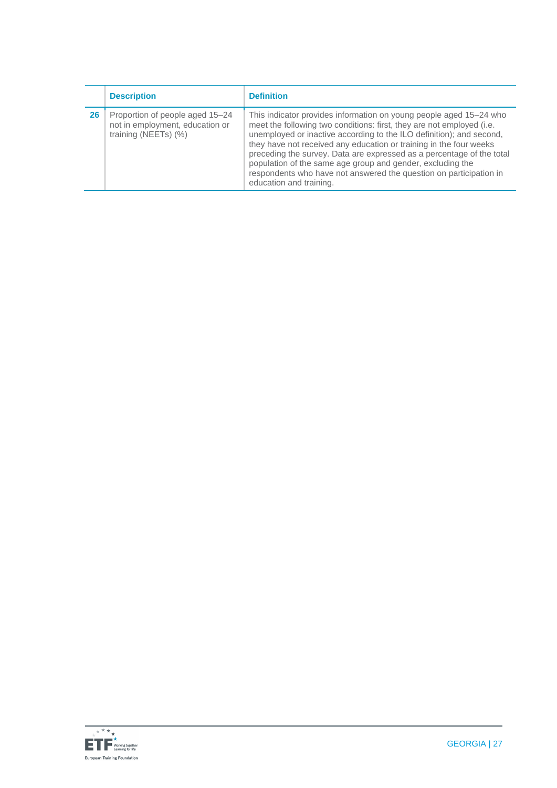|    | <b>Description</b>                                                                         | <b>Definition</b>                                                                                                                                                                                                                                                                                                                                                                                                                                                                                                                 |
|----|--------------------------------------------------------------------------------------------|-----------------------------------------------------------------------------------------------------------------------------------------------------------------------------------------------------------------------------------------------------------------------------------------------------------------------------------------------------------------------------------------------------------------------------------------------------------------------------------------------------------------------------------|
| 26 | Proportion of people aged 15-24<br>not in employment, education or<br>training (NEETs) (%) | This indicator provides information on young people aged 15–24 who<br>meet the following two conditions: first, they are not employed (i.e.<br>unemployed or inactive according to the ILO definition); and second,<br>they have not received any education or training in the four weeks<br>preceding the survey. Data are expressed as a percentage of the total<br>population of the same age group and gender, excluding the<br>respondents who have not answered the question on participation in<br>education and training. |

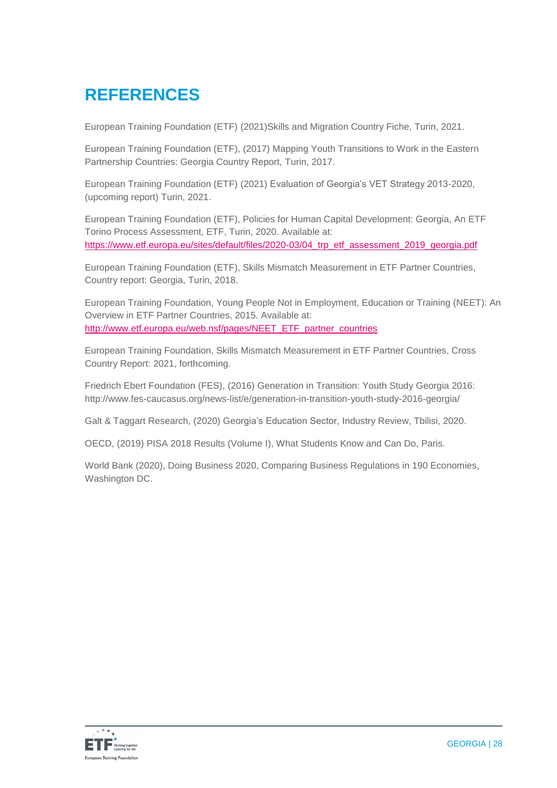## **REFERENCES**

European Training Foundation (ETF) (2021)Skills and Migration Country Fiche, Turin, 2021.

European Training Foundation (ETF), (2017) Mapping Youth Transitions to Work in the Eastern Partnership Countries: Georgia Country Report, Turin, 2017.

European Training Foundation (ETF) (2021) Evaluation of Georgia's VET Strategy 2013-2020, (upcoming report) Turin, 2021.

European Training Foundation (ETF), Policies for Human Capital Development: Georgia, An ETF Torino Process Assessment, ETF, Turin, 2020. Available at: [https://www.etf.europa.eu/sites/default/files/2020-03/04\\_trp\\_etf\\_assessment\\_2019\\_georgia.pdf](https://www.etf.europa.eu/sites/default/files/2020-03/04_trp_etf_assessment_2019_georgia.pdf)

European Training Foundation (ETF), Skills Mismatch Measurement in ETF Partner Countries, Country report: Georgia, Turin, 2018.

European Training Foundation, Young People Not in Employment, Education or Training (NEET): An Overview in ETF Partner Countries, 2015. Available at: [http://www.etf.europa.eu/web.nsf/pages/NEET\\_ETF\\_partner\\_countries](http://www.etf.europa.eu/web.nsf/pages/NEET_ETF_partner_countries)

European Training Foundation, Skills Mismatch Measurement in ETF Partner Countries, Cross Country Report: 2021, forthcoming.

Friedrich Ebert Foundation (FES), (2016) Generation in Transition: Youth Study Georgia 2016: http://www.fes-caucasus.org/news-list/e/generation-in-transition-youth-study-2016-georgia/

Galt & Taggart Research, (2020) Georgia's Education Sector, Industry Review, Tbilisi, 2020.

OECD, (2019) PISA 2018 Results (Volume I), What Students Know and Can Do, Paris.

World Bank (2020), Doing Business 2020, Comparing Business Regulations in 190 Economies, Washington DC.

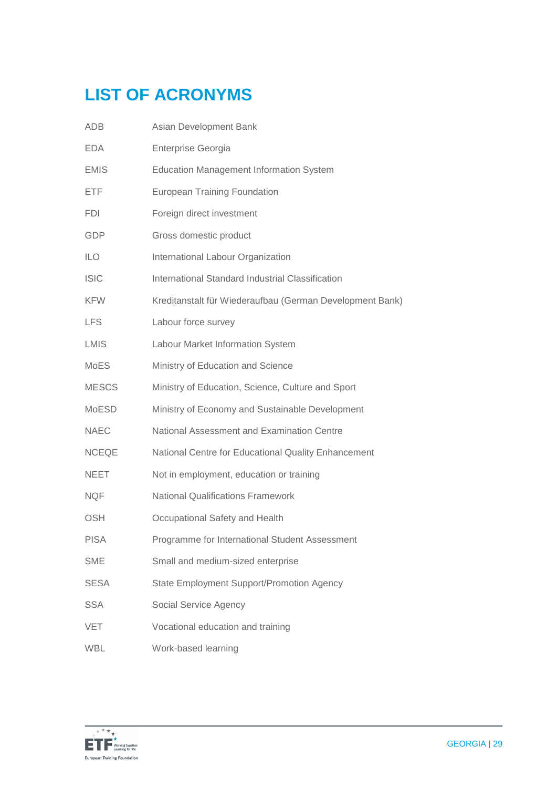# **LIST OF ACRONYMS**

| ADB          | Asian Development Bank                                   |
|--------------|----------------------------------------------------------|
| <b>EDA</b>   | Enterprise Georgia                                       |
| <b>EMIS</b>  | <b>Education Management Information System</b>           |
| <b>ETF</b>   | <b>European Training Foundation</b>                      |
| <b>FDI</b>   | Foreign direct investment                                |
| <b>GDP</b>   | Gross domestic product                                   |
| <b>ILO</b>   | International Labour Organization                        |
| <b>ISIC</b>  | International Standard Industrial Classification         |
| <b>KFW</b>   | Kreditanstalt für Wiederaufbau (German Development Bank) |
| <b>LFS</b>   | Labour force survey                                      |
| <b>LMIS</b>  | Labour Market Information System                         |
| <b>MoES</b>  | Ministry of Education and Science                        |
| <b>MESCS</b> | Ministry of Education, Science, Culture and Sport        |
| <b>MoESD</b> | Ministry of Economy and Sustainable Development          |
| <b>NAEC</b>  | National Assessment and Examination Centre               |
| <b>NCEQE</b> | National Centre for Educational Quality Enhancement      |
| <b>NEET</b>  | Not in employment, education or training                 |
| <b>NQF</b>   | <b>National Qualifications Framework</b>                 |
| <b>OSH</b>   | Occupational Safety and Health                           |
| <b>PISA</b>  | Programme for International Student Assessment           |
| <b>SME</b>   | Small and medium-sized enterprise                        |
| <b>SESA</b>  | <b>State Employment Support/Promotion Agency</b>         |
| <b>SSA</b>   | Social Service Agency                                    |
| VET          | Vocational education and training                        |
| <b>WBL</b>   | Work-based learning                                      |